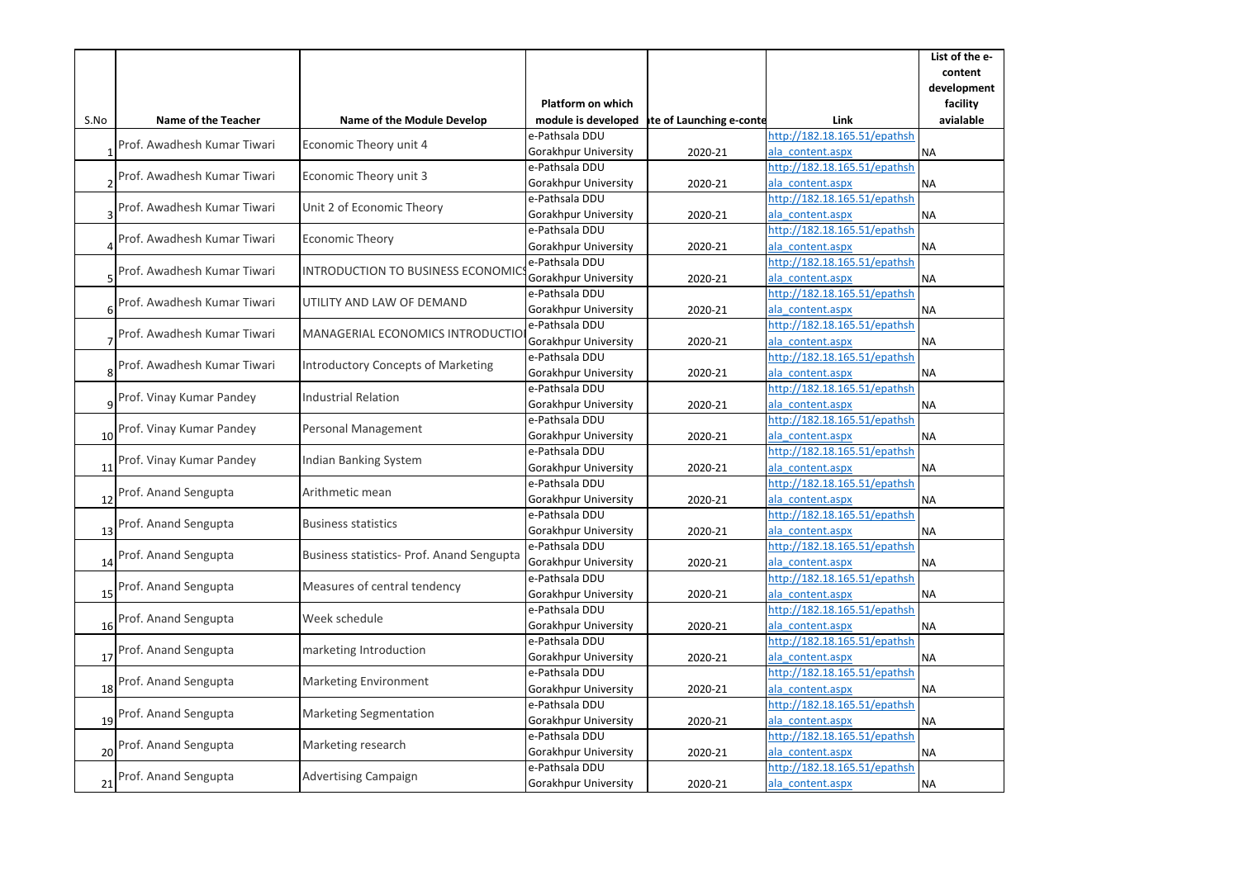|      |                             |                                           |                          |                          |                              | List of the e- |
|------|-----------------------------|-------------------------------------------|--------------------------|--------------------------|------------------------------|----------------|
|      |                             |                                           |                          |                          |                              | content        |
|      |                             |                                           |                          |                          |                              | development    |
|      |                             |                                           | <b>Platform on which</b> |                          |                              | facility       |
| S.No | Name of the Teacher         | <b>Name of the Module Develop</b>         | module is developed      | ite of Launching e-conte | Link                         | avialable      |
|      | Prof. Awadhesh Kumar Tiwari | Economic Theory unit 4                    | e-Pathsala DDU           |                          | http://182.18.165.51/epathsh |                |
|      |                             |                                           | Gorakhpur University     | 2020-21                  | ala content.aspx             | <b>NA</b>      |
|      | Prof. Awadhesh Kumar Tiwari | Economic Theory unit 3                    | e-Pathsala DDU           |                          | http://182.18.165.51/epathsh |                |
|      |                             |                                           | Gorakhpur University     | 2020-21                  | ala content.aspx             | <b>NA</b>      |
|      | Prof. Awadhesh Kumar Tiwari | Unit 2 of Economic Theory                 | e-Pathsala DDU           |                          | http://182.18.165.51/epathsh |                |
|      |                             |                                           | Gorakhpur University     | 2020-21                  | ala content.aspx             | <b>NA</b>      |
|      | Prof. Awadhesh Kumar Tiwari | Economic Theory                           | e-Pathsala DDU           |                          | http://182.18.165.51/epathsh |                |
| 4    |                             |                                           | Gorakhpur University     | 2020-21                  | ala content.aspx             | NA             |
|      | Prof. Awadhesh Kumar Tiwari | INTRODUCTION TO BUSINESS ECONOMIC         | e-Pathsala DDU           |                          | http://182.18.165.51/epathsh |                |
|      |                             |                                           | Gorakhpur University     | 2020-21                  | ala_content.aspx             | <b>NA</b>      |
|      | Prof. Awadhesh Kumar Tiwari | UTILITY AND LAW OF DEMAND                 | e-Pathsala DDU           |                          | http://182.18.165.51/epathsh |                |
| 6    |                             |                                           | Gorakhpur University     | 2020-21                  | ala content.aspx             | <b>NA</b>      |
|      | Prof. Awadhesh Kumar Tiwari | MANAGERIAL ECONOMICS INTRODUCTIO          | e-Pathsala DDU           |                          | http://182.18.165.51/epathsh |                |
|      |                             |                                           | Gorakhpur University     | 2020-21                  | ala content.aspx             | <b>NA</b>      |
|      | Prof. Awadhesh Kumar Tiwari | <b>Introductory Concepts of Marketing</b> | e-Pathsala DDU           |                          | http://182.18.165.51/epathsh |                |
|      |                             |                                           | Gorakhpur University     | 2020-21                  | ala content.aspx             | <b>NA</b>      |
|      | Prof. Vinay Kumar Pandey    | <b>Industrial Relation</b>                | e-Pathsala DDU           |                          | http://182.18.165.51/epathsh |                |
|      |                             |                                           | Gorakhpur University     | 2020-21                  | ala content.aspx             | <b>NA</b>      |
|      | Prof. Vinay Kumar Pandey    | Personal Management                       | e-Pathsala DDU           |                          | http://182.18.165.51/epathsh |                |
| 10   |                             |                                           | Gorakhpur University     | 2020-21                  | ala content.aspx             | <b>NA</b>      |
|      | Prof. Vinay Kumar Pandey    | Indian Banking System                     | e-Pathsala DDU           |                          | http://182.18.165.51/epathsh |                |
| 11   |                             |                                           | Gorakhpur University     | 2020-21                  | ala content.aspx             | ΝA             |
|      | Prof. Anand Sengupta        | Arithmetic mean                           | e-Pathsala DDU           |                          | http://182.18.165.51/epathsh |                |
| 12   |                             |                                           | Gorakhpur University     | 2020-21                  | ala content.aspx             | <b>NA</b>      |
|      | Prof. Anand Sengupta        | <b>Business statistics</b>                | e-Pathsala DDU           |                          | http://182.18.165.51/epathsh |                |
| 13   |                             |                                           | Gorakhpur University     | 2020-21                  | ala_content.aspx             | <b>NA</b>      |
|      | Prof. Anand Sengupta        | Business statistics- Prof. Anand Sengupta | e-Pathsala DDU           |                          | http://182.18.165.51/epathsh |                |
| 14   |                             |                                           | Gorakhpur University     | 2020-21                  | ala content.aspx             | <b>NA</b>      |
|      | Prof. Anand Sengupta        | Measures of central tendency              | e-Pathsala DDU           |                          | http://182.18.165.51/epathsh |                |
| 15   |                             |                                           | Gorakhpur University     | 2020-21                  | ala content.aspx             | <b>NA</b>      |
|      | Prof. Anand Sengupta        | Week schedule                             | e-Pathsala DDU           |                          | http://182.18.165.51/epathsh |                |
| 16   |                             |                                           | Gorakhpur University     | 2020-21                  | ala content.aspx             | <b>NA</b>      |
|      | Prof. Anand Sengupta        | marketing Introduction                    | e-Pathsala DDU           |                          | http://182.18.165.51/epathsh |                |
| 17   |                             |                                           | Gorakhpur University     | 2020-21                  | ala content.aspx             | ΝA             |
|      | Prof. Anand Sengupta        | Marketing Environment                     | e-Pathsala DDU           |                          | http://182.18.165.51/epathsh |                |
| 18   |                             |                                           | Gorakhpur University     | 2020-21                  | ala content.aspx             | <b>NA</b>      |
|      | Prof. Anand Sengupta        | <b>Marketing Segmentation</b>             | e-Pathsala DDU           |                          | http://182.18.165.51/epathsh |                |
| 19   |                             |                                           | Gorakhpur University     | 2020-21                  | ala content.aspx             | NA             |
|      | Prof. Anand Sengupta        | Marketing research                        | e-Pathsala DDU           |                          | http://182.18.165.51/epathsh |                |
| 20   |                             |                                           | Gorakhpur University     | 2020-21                  | ala content.aspx             | <b>NA</b>      |
|      | Prof. Anand Sengupta        | <b>Advertising Campaign</b>               | e-Pathsala DDU           |                          | http://182.18.165.51/epathsh |                |
| 21   |                             |                                           | Gorakhpur University     | 2020-21                  | ala content.aspx             | <b>NA</b>      |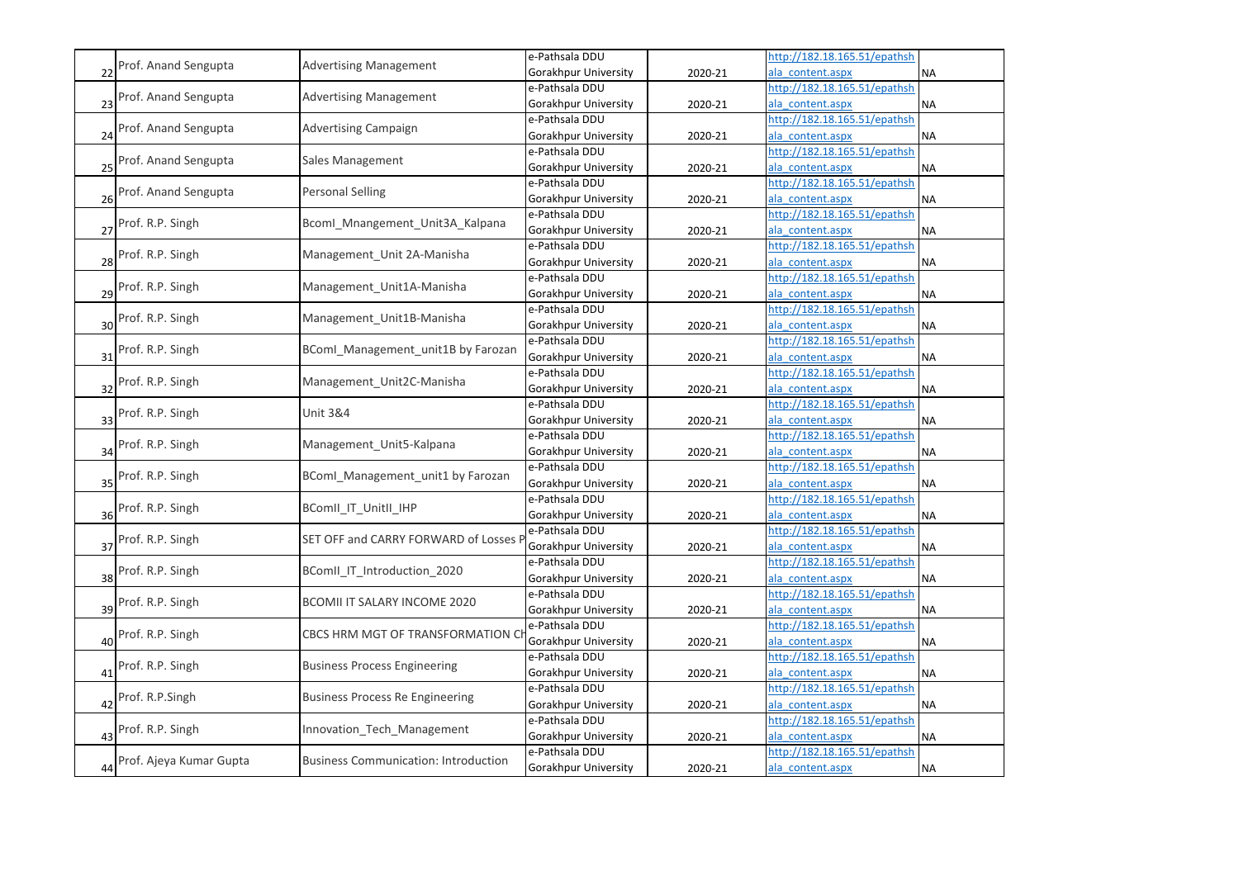|    |                         |                                             | e-Pathsala DDU              |         | http://182.18.165.51/epathsh |           |
|----|-------------------------|---------------------------------------------|-----------------------------|---------|------------------------------|-----------|
| 22 | Prof. Anand Sengupta    | <b>Advertising Management</b>               | Gorakhpur University        | 2020-21 | ala content.aspx             | <b>NA</b> |
|    | Prof. Anand Sengupta    | <b>Advertising Management</b>               | e-Pathsala DDU              |         | http://182.18.165.51/epathsh |           |
| 23 |                         |                                             | Gorakhpur University        | 2020-21 | ala content.aspx             | <b>NA</b> |
|    | Prof. Anand Sengupta    |                                             | e-Pathsala DDU              |         | http://182.18.165.51/epathsh |           |
| 24 |                         | <b>Advertising Campaign</b>                 | Gorakhpur University        | 2020-21 | ala_content.aspx             | <b>NA</b> |
|    | Prof. Anand Sengupta    | Sales Management                            | e-Pathsala DDU              |         | http://182.18.165.51/epathsh |           |
| 25 |                         |                                             | Gorakhpur University        | 2020-21 | ala content.aspx             | <b>NA</b> |
|    | Prof. Anand Sengupta    | <b>Personal Selling</b>                     | e-Pathsala DDU              |         | http://182.18.165.51/epathsh |           |
| 26 |                         |                                             | Gorakhpur University        | 2020-21 | ala_content.aspx             | <b>NA</b> |
|    | Prof. R.P. Singh        | Bcoml Mnangement Unit3A Kalpana             | e-Pathsala DDU              |         | http://182.18.165.51/epathsh |           |
| 27 |                         |                                             | Gorakhpur University        | 2020-21 | ala content.aspx             | <b>NA</b> |
|    | Prof. R.P. Singh        | Management_Unit 2A-Manisha                  | e-Pathsala DDU              |         | http://182.18.165.51/epathsh |           |
| 28 |                         |                                             | Gorakhpur University        | 2020-21 | ala_content.aspx             | <b>NA</b> |
|    | Prof. R.P. Singh        | Management Unit1A-Manisha                   | e-Pathsala DDU              |         | http://182.18.165.51/epathsh |           |
| 29 |                         |                                             | Gorakhpur University        | 2020-21 | ala content.aspx             | <b>NA</b> |
|    | Prof. R.P. Singh        | Management_Unit1B-Manisha                   | e-Pathsala DDU              |         | http://182.18.165.51/epathsh |           |
| 30 |                         |                                             | Gorakhpur University        | 2020-21 | ala content.aspx             | <b>NA</b> |
|    | Prof. R.P. Singh        | BComl Management unit1B by Farozan          | e-Pathsala DDU              |         | http://182.18.165.51/epathsh |           |
| 31 |                         |                                             | Gorakhpur University        | 2020-21 | ala content.aspx             | <b>NA</b> |
|    | Prof. R.P. Singh        | Management_Unit2C-Manisha                   | e-Pathsala DDU              |         | http://182.18.165.51/epathsh |           |
| 32 |                         |                                             | Gorakhpur University        | 2020-21 | ala content.aspx             | <b>NA</b> |
|    | Prof. R.P. Singh        | <b>Unit 3&amp;4</b>                         | e-Pathsala DDU              |         | http://182.18.165.51/epathsh |           |
| 33 |                         |                                             | Gorakhpur University        | 2020-21 | ala content.aspx             | <b>NA</b> |
|    | Prof. R.P. Singh        | Management_Unit5-Kalpana                    | e-Pathsala DDU              |         | http://182.18.165.51/epathsh |           |
| 34 |                         |                                             | Gorakhpur University        | 2020-21 | ala content.aspx             | <b>NA</b> |
|    | Prof. R.P. Singh        | BComl_Management_unit1 by Farozan           | e-Pathsala DDU              |         | http://182.18.165.51/epathsh |           |
| 35 |                         |                                             | Gorakhpur University        | 2020-21 | ala content.aspx             | <b>NA</b> |
|    | Prof. R.P. Singh        | BComII_IT_UnitII_IHP                        | e-Pathsala DDU              |         | http://182.18.165.51/epathsh |           |
| 36 |                         |                                             | Gorakhpur University        | 2020-21 | ala content.aspx             | <b>NA</b> |
|    | Prof. R.P. Singh        | SET OFF and CARRY FORWARD of Losses I       | e-Pathsala DDU              |         | http://182.18.165.51/epathsh |           |
| 37 |                         |                                             | <b>Gorakhpur University</b> | 2020-21 | ala content.aspx             | <b>NA</b> |
|    | Prof. R.P. Singh        | BComII IT Introduction 2020                 | e-Pathsala DDU              |         | http://182.18.165.51/epathsh |           |
| 38 |                         |                                             | <b>Gorakhpur University</b> | 2020-21 | ala content.aspx             | <b>NA</b> |
|    | Prof. R.P. Singh        | BCOMII IT SALARY INCOME 2020                | e-Pathsala DDU              |         | http://182.18.165.51/epathsh |           |
| 39 |                         |                                             | Gorakhpur University        | 2020-21 | ala content.aspx             | <b>NA</b> |
|    | Prof. R.P. Singh        | CBCS HRM MGT OF TRANSFORMATION C            | e-Pathsala DDU              |         | http://182.18.165.51/epathsh |           |
| 40 |                         |                                             | Gorakhpur University        | 2020-21 | ala content.aspx             | <b>NA</b> |
|    | Prof. R.P. Singh        | <b>Business Process Engineering</b>         | e-Pathsala DDU              |         | http://182.18.165.51/epathsh |           |
| 41 |                         |                                             | <b>Gorakhpur University</b> | 2020-21 | ala content.aspx             | <b>NA</b> |
|    | Prof. R.P.Singh         | <b>Business Process Re Engineering</b>      | e-Pathsala DDU              |         | http://182.18.165.51/epathsh |           |
| 42 |                         |                                             | Gorakhpur University        | 2020-21 | ala content.aspx             | <b>NA</b> |
|    | Prof. R.P. Singh        | Innovation Tech Management                  | e-Pathsala DDU              |         | http://182.18.165.51/epathsh |           |
| 43 |                         |                                             | Gorakhpur University        | 2020-21 | ala content.aspx             | <b>NA</b> |
|    | Prof. Ajeya Kumar Gupta | <b>Business Communication: Introduction</b> | e-Pathsala DDU              |         | http://182.18.165.51/epathsh |           |
| 44 |                         |                                             | Gorakhpur University        | 2020-21 | ala_content.aspx             | <b>NA</b> |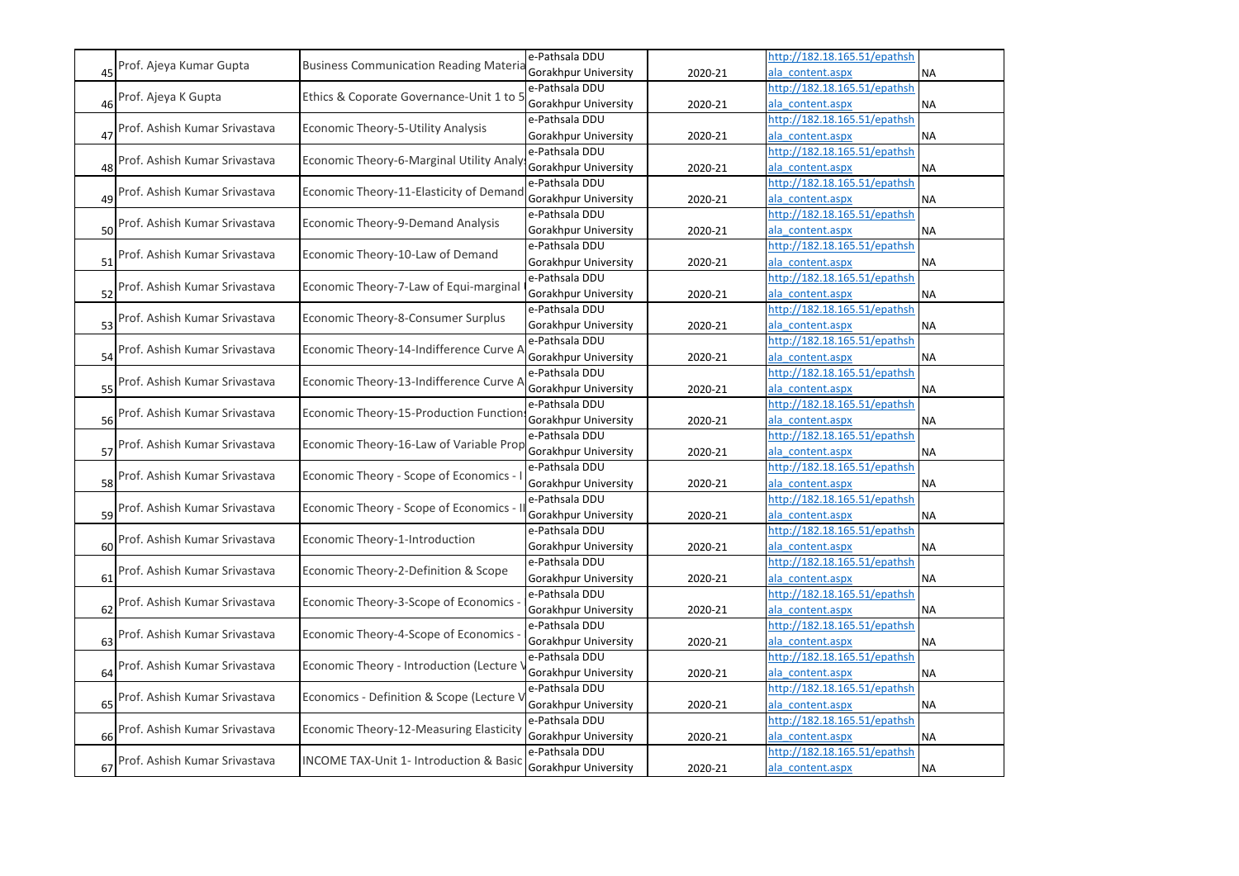|    |                                         |                                               | e-Pathsala DDU              |                              | http://182.18.165.51/epathsh |           |
|----|-----------------------------------------|-----------------------------------------------|-----------------------------|------------------------------|------------------------------|-----------|
|    | Prof. Ajeya Kumar Gupta                 | <b>Business Communication Reading Materia</b> | <b>Gorakhpur University</b> | 2020-21                      | ala content.aspx             | <b>NA</b> |
|    |                                         | Ethics & Coporate Governance-Unit 1 to 5      | e-Pathsala DDU              |                              | http://182.18.165.51/epathsh |           |
| 46 | Prof. Ajeya K Gupta                     |                                               | Gorakhpur University        | 2020-21                      | ala content.aspx             | <b>NA</b> |
|    |                                         | Economic Theory-5-Utility Analysis            | e-Pathsala DDU              |                              | http://182.18.165.51/epathsh |           |
|    | 47 Prof. Ashish Kumar Srivastava        |                                               | Gorakhpur University        | 2020-21                      | ala content.aspx             | <b>NA</b> |
|    |                                         | Economic Theory-6-Marginal Utility Analy      | e-Pathsala DDU              |                              | http://182.18.165.51/epathsh |           |
|    | 48 Prof. Ashish Kumar Srivastava        |                                               | Gorakhpur University        | 2020-21                      | ala content.aspx             | <b>NA</b> |
|    |                                         | Economic Theory-11-Elasticity of Demand       | e-Pathsala DDU              |                              | http://182.18.165.51/epathsh |           |
|    | 49 Prof. Ashish Kumar Srivastava        |                                               | <b>Gorakhpur University</b> | 2020-21                      | ala content.aspx             | <b>NA</b> |
|    |                                         | Economic Theory-9-Demand Analysis             | e-Pathsala DDU              |                              | http://182.18.165.51/epathsh |           |
|    | 50 Prof. Ashish Kumar Srivastava        |                                               | <b>Gorakhpur University</b> | 2020-21                      | ala content.aspx             | <b>NA</b> |
|    |                                         | Economic Theory-10-Law of Demand              | e-Pathsala DDU              |                              | http://182.18.165.51/epathsh |           |
|    | 51 Prof. Ashish Kumar Srivastava        |                                               | Gorakhpur University        | 2020-21                      | ala content.aspx             | <b>NA</b> |
|    |                                         | Economic Theory-7-Law of Equi-marginal        | e-Pathsala DDU              |                              | http://182.18.165.51/epathsh |           |
| 52 | Prof. Ashish Kumar Srivastava           |                                               | <b>Gorakhpur University</b> | 2020-21                      | ala content.aspx             | <b>NA</b> |
|    |                                         | Economic Theory-8-Consumer Surplus            | e-Pathsala DDU              |                              | http://182.18.165.51/epathsh |           |
|    | 53 Prof. Ashish Kumar Srivastava        |                                               | <b>Gorakhpur University</b> | 2020-21                      | ala content.aspx             | <b>NA</b> |
|    | Economic Theory-14-Indifference Curve / | e-Pathsala DDU                                |                             | http://182.18.165.51/epathsh |                              |           |
| 54 | Prof. Ashish Kumar Srivastava           |                                               | Gorakhpur University        | 2020-21                      | ala content.aspx             | <b>NA</b> |
|    |                                         | Economic Theory-13-Indifference Curve /       | e-Pathsala DDU              |                              | http://182.18.165.51/epathsh |           |
|    | 55 Prof. Ashish Kumar Srivastava        |                                               | <b>Gorakhpur University</b> | 2020-21                      | ala content.aspx             | <b>NA</b> |
|    |                                         | Economic Theory-15-Production Functior        | e-Pathsala DDU              |                              | http://182.18.165.51/epathsh |           |
|    | 56 Prof. Ashish Kumar Srivastava        |                                               | Gorakhpur University        | 2020-21                      | ala content.aspx             | <b>NA</b> |
|    |                                         | Economic Theory-16-Law of Variable Prop       | e-Pathsala DDU              |                              | http://182.18.165.51/epathsh |           |
|    | 57 Prof. Ashish Kumar Srivastava        |                                               | Gorakhpur University        | 2020-21                      | ala content.aspx             | <b>NA</b> |
|    |                                         | Economic Theory - Scope of Economics -        | e-Pathsala DDU              |                              | http://182.18.165.51/epathsh |           |
| 58 | Prof. Ashish Kumar Srivastava           |                                               | <b>Gorakhpur University</b> | 2020-21                      | ala content.aspx             | <b>NA</b> |
|    | 59 Prof. Ashish Kumar Srivastava        | Economic Theory - Scope of Economics -        | e-Pathsala DDU              |                              | http://182.18.165.51/epathsh |           |
|    |                                         |                                               | Gorakhpur University        | 2020-21                      | ala content.aspx             | <b>NA</b> |
|    |                                         | Economic Theory-1-Introduction                | e-Pathsala DDU              |                              | http://182.18.165.51/epathsh |           |
|    | 60 Prof. Ashish Kumar Srivastava        |                                               | Gorakhpur University        | 2020-21                      | ala content.aspx             | <b>NA</b> |
|    | Prof. Ashish Kumar Srivastava           | Economic Theory-2-Definition & Scope          | e-Pathsala DDU              |                              | http://182.18.165.51/epathsh |           |
| 61 |                                         |                                               | Gorakhpur University        | 2020-21                      | ala content.aspx             | <b>NA</b> |
|    | Prof. Ashish Kumar Srivastava           | Economic Theory-3-Scope of Economics          | e-Pathsala DDU              |                              | http://182.18.165.51/epathsh |           |
| 62 |                                         |                                               | Gorakhpur University        | 2020-21                      | ala content.aspx             | <b>NA</b> |
|    | 63 Prof. Ashish Kumar Srivastava        | Economic Theory-4-Scope of Economics          | e-Pathsala DDU              |                              | http://182.18.165.51/epathsh |           |
|    |                                         |                                               | <b>Gorakhpur University</b> | 2020-21                      | ala content.aspx             | <b>NA</b> |
|    | Prof. Ashish Kumar Srivastava           | Economic Theory - Introduction (Lecture       | e-Pathsala DDU              |                              | http://182.18.165.51/epathsh |           |
| 64 |                                         |                                               | Gorakhpur University        | 2020-21                      | ala content.aspx             | <b>NA</b> |
|    | Prof. Ashish Kumar Srivastava           | Economics - Definition & Scope (Lecture \     | e-Pathsala DDU              |                              | http://182.18.165.51/epathsh |           |
| 65 |                                         |                                               | Gorakhpur University        | 2020-21                      | ala content.aspx             | <b>NA</b> |
|    | Prof. Ashish Kumar Srivastava           | Economic Theory-12-Measuring Elasticity       | e-Pathsala DDU              |                              | http://182.18.165.51/epathsh |           |
| 66 |                                         |                                               | Gorakhpur University        | 2020-21                      | ala content.aspx             | <b>NA</b> |
|    | Prof. Ashish Kumar Srivastava           | INCOME TAX-Unit 1- Introduction & Basic       | e-Pathsala DDU              |                              | http://182.18.165.51/epathsh |           |
|    |                                         |                                               | <b>Gorakhpur University</b> | 2020-21                      | ala_content.aspx             | <b>NA</b> |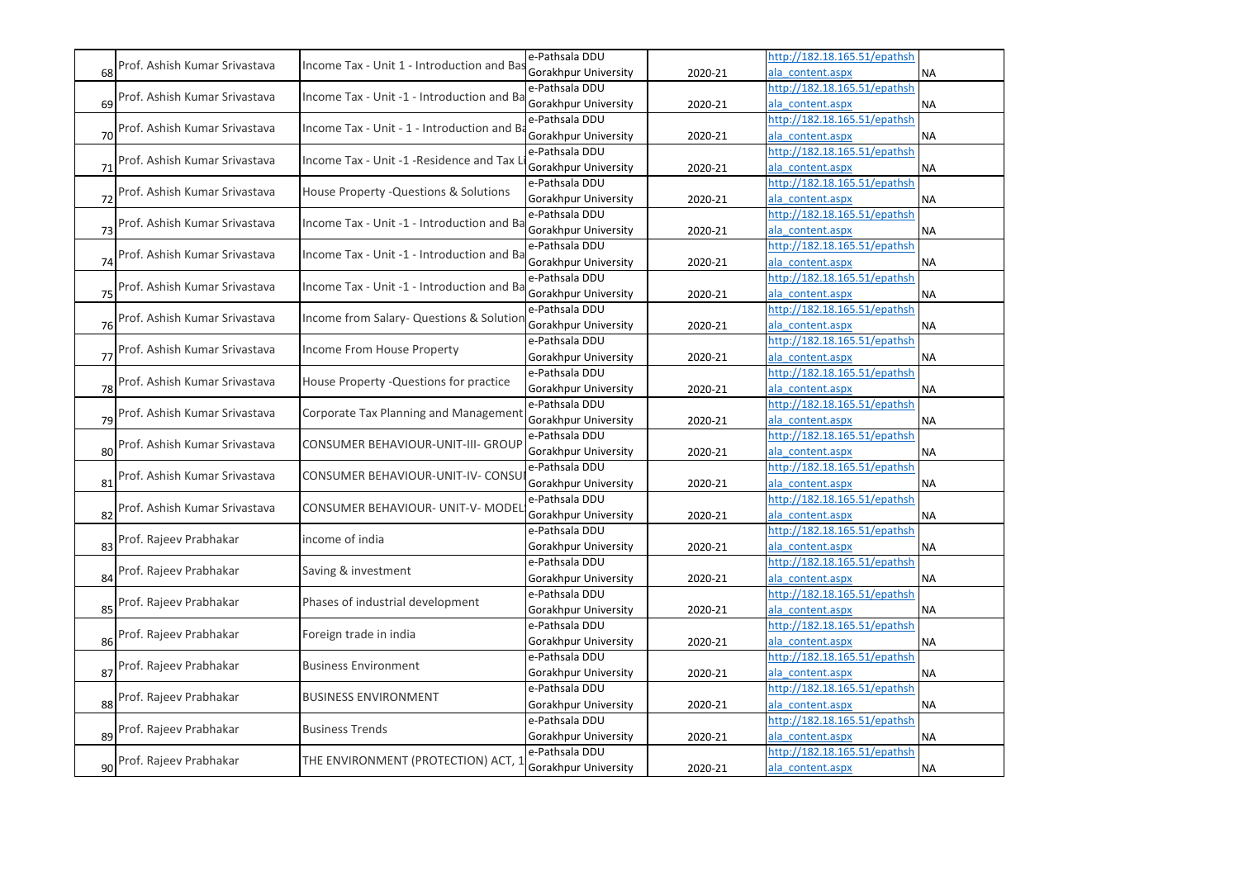|    |                               |                                            | e-Pathsala DDU       |         | http://182.18.165.51/epathsh |           |
|----|-------------------------------|--------------------------------------------|----------------------|---------|------------------------------|-----------|
| 68 | Prof. Ashish Kumar Srivastava | Income Tax - Unit 1 - Introduction and Bas | Gorakhpur University | 2020-21 | ala content.aspx             | <b>NA</b> |
|    |                               |                                            | e-Pathsala DDU       |         | http://182.18.165.51/epathsh |           |
| 69 | Prof. Ashish Kumar Srivastava | Income Tax - Unit -1 - Introduction and Ba | Gorakhpur University | 2020-21 | ala content.aspx             | <b>NA</b> |
|    |                               |                                            | e-Pathsala DDU       |         | http://182.18.165.51/epathsh |           |
| 70 | Prof. Ashish Kumar Srivastava | Income Tax - Unit - 1 - Introduction and B | Gorakhpur University | 2020-21 | ala content.aspx             | <b>NA</b> |
|    |                               |                                            | e-Pathsala DDU       |         | http://182.18.165.51/epathsh |           |
| 71 | Prof. Ashish Kumar Srivastava | Income Tax - Unit -1 - Residence and Tax I | Gorakhpur University | 2020-21 | ala content.aspx             | <b>NA</b> |
|    |                               | House Property - Questions & Solutions     | e-Pathsala DDU       |         | http://182.18.165.51/epathsh |           |
| 72 | Prof. Ashish Kumar Srivastava |                                            | Gorakhpur University | 2020-21 | ala content.aspx             | <b>NA</b> |
|    |                               |                                            | e-Pathsala DDU       |         | http://182.18.165.51/epathsh |           |
| 73 | Prof. Ashish Kumar Srivastava | Income Tax - Unit -1 - Introduction and Ba | Gorakhpur University | 2020-21 | ala content.aspx             | <b>NA</b> |
|    |                               |                                            | e-Pathsala DDU       |         | http://182.18.165.51/epathsh |           |
| 74 | Prof. Ashish Kumar Srivastava | Income Tax - Unit -1 - Introduction and Ba | Gorakhpur University | 2020-21 | ala content.aspx             | <b>NA</b> |
|    |                               |                                            | e-Pathsala DDU       |         | http://182.18.165.51/epathsh |           |
| 75 | Prof. Ashish Kumar Srivastava | Income Tax - Unit -1 - Introduction and Ba | Gorakhpur University | 2020-21 | ala content.aspx             | <b>NA</b> |
|    |                               |                                            | e-Pathsala DDU       |         | http://182.18.165.51/epathsh |           |
| 76 | Prof. Ashish Kumar Srivastava | Income from Salary- Questions & Solution   | Gorakhpur University | 2020-21 | ala content.aspx             | <b>NA</b> |
|    |                               |                                            | e-Pathsala DDU       |         | http://182.18.165.51/epathsh |           |
| 77 | Prof. Ashish Kumar Srivastava | Income From House Property                 | Gorakhpur University | 2020-21 | ala content.aspx             | <b>NA</b> |
|    |                               | House Property - Questions for practice    | e-Pathsala DDU       |         | http://182.18.165.51/epathsh |           |
| 78 | Prof. Ashish Kumar Srivastava |                                            | Gorakhpur University | 2020-21 | ala_content.aspx             | <b>NA</b> |
|    |                               |                                            | e-Pathsala DDU       |         | http://182.18.165.51/epathsh |           |
| 79 | Prof. Ashish Kumar Srivastava | Corporate Tax Planning and Management      | Gorakhpur University | 2020-21 | ala content.aspx             | <b>NA</b> |
|    |                               |                                            | e-Pathsala DDU       |         | http://182.18.165.51/epathsh |           |
| 80 | Prof. Ashish Kumar Srivastava | CONSUMER BEHAVIOUR-UNIT-III- GROUP         | Gorakhpur University | 2020-21 | ala content.aspx             | <b>NA</b> |
|    |                               |                                            | e-Pathsala DDU       |         | http://182.18.165.51/epathsh |           |
| 81 | Prof. Ashish Kumar Srivastava | CONSUMER BEHAVIOUR-UNIT-IV- CONSU          | Gorakhpur University | 2020-21 | ala content.aspx             | <b>NA</b> |
|    |                               |                                            | e-Pathsala DDU       |         | http://182.18.165.51/epathsh |           |
| 82 | Prof. Ashish Kumar Srivastava | CONSUMER BEHAVIOUR- UNIT-V- MODEI          | Gorakhpur University | 2020-21 | ala content.aspx             | <b>NA</b> |
|    |                               |                                            | e-Pathsala DDU       |         | http://182.18.165.51/epathsh |           |
| 83 | Prof. Rajeev Prabhakar        | income of india                            | Gorakhpur University | 2020-21 | ala content.aspx             | <b>NA</b> |
|    |                               |                                            | e-Pathsala DDU       |         | http://182.18.165.51/epathsh |           |
| 84 | Prof. Rajeev Prabhakar        | Saving & investment                        | Gorakhpur University | 2020-21 | ala_content.aspx             | <b>NA</b> |
|    |                               |                                            | e-Pathsala DDU       |         | http://182.18.165.51/epathsh |           |
| 85 | Prof. Rajeev Prabhakar        | Phases of industrial development           | Gorakhpur University | 2020-21 | ala content.aspx             | <b>NA</b> |
|    |                               |                                            | e-Pathsala DDU       |         | http://182.18.165.51/epathsh |           |
| 86 | Prof. Rajeev Prabhakar        | Foreign trade in india                     | Gorakhpur University | 2020-21 | ala content.aspx             | <b>NA</b> |
|    |                               |                                            | e-Pathsala DDU       |         | http://182.18.165.51/epathsh |           |
| 87 | Prof. Rajeev Prabhakar        | <b>Business Environment</b>                | Gorakhpur University | 2020-21 | ala content.aspx             | <b>NA</b> |
|    |                               |                                            | e-Pathsala DDU       |         | http://182.18.165.51/epathsh |           |
| 88 | Prof. Rajeev Prabhakar        | <b>BUSINESS ENVIRONMENT</b>                | Gorakhpur University | 2020-21 | ala content.aspx             | <b>NA</b> |
|    |                               |                                            | e-Pathsala DDU       |         | http://182.18.165.51/epathsh |           |
| 89 | Prof. Rajeev Prabhakar        | <b>Business Trends</b>                     | Gorakhpur University | 2020-21 | ala content.aspx             | <b>NA</b> |
|    |                               |                                            | e-Pathsala DDU       |         | http://182.18.165.51/epathsh |           |
|    | 90 Prof. Rajeev Prabhakar     | THE ENVIRONMENT (PROTECTION) ACT, 1        | Gorakhpur University | 2020-21 | ala content.aspx             | <b>NA</b> |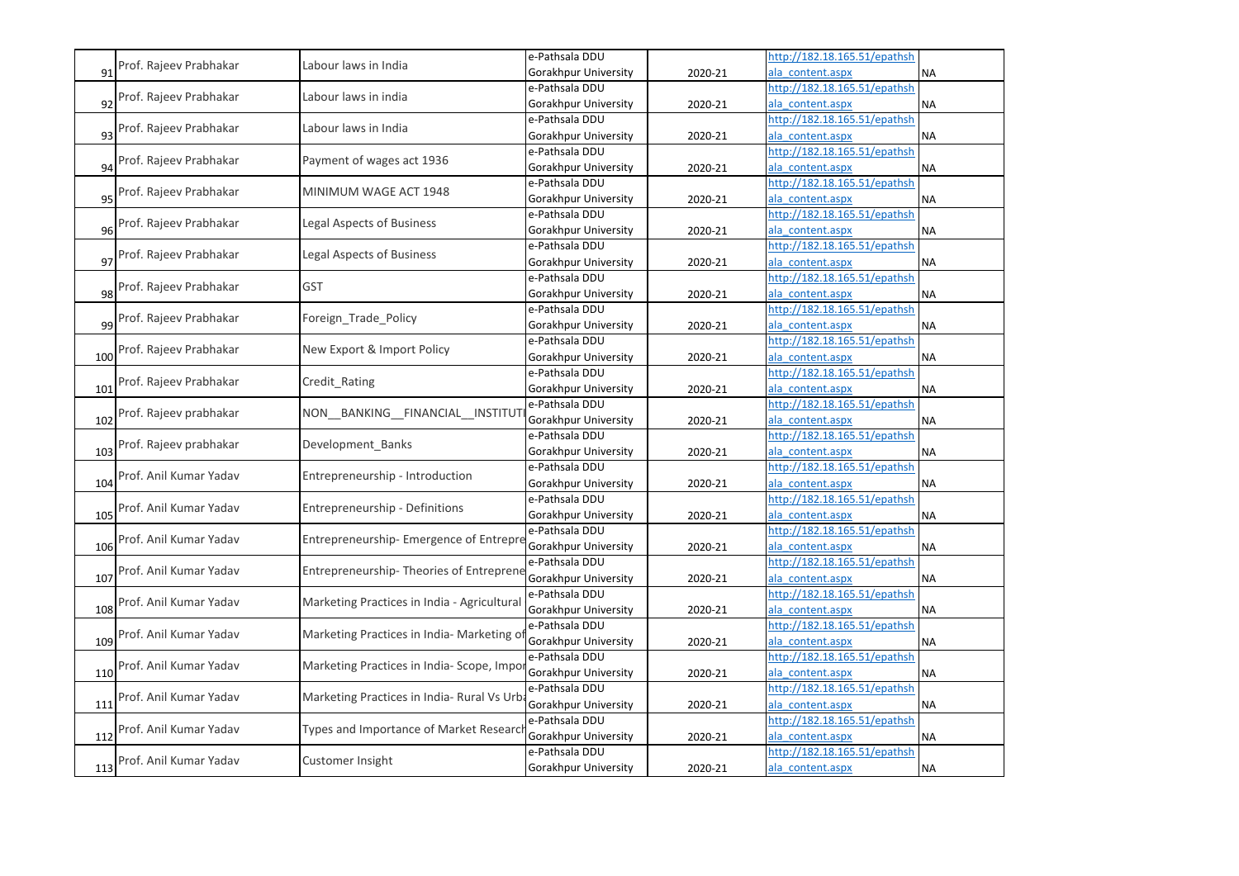|     |                                                          | Labour laws in India                           | e-Pathsala DDU       |                              | http://182.18.165.51/epathsh |           |
|-----|----------------------------------------------------------|------------------------------------------------|----------------------|------------------------------|------------------------------|-----------|
| 91  | Prof. Rajeev Prabhakar                                   |                                                | Gorakhpur University | 2020-21                      | ala content.aspx             | <b>NA</b> |
|     |                                                          | Labour laws in india                           | e-Pathsala DDU       |                              | http://182.18.165.51/epathsh |           |
| 92  | Prof. Rajeev Prabhakar                                   |                                                | Gorakhpur University | 2020-21                      | ala content.aspx             | <b>NA</b> |
|     |                                                          | Labour laws in India                           | e-Pathsala DDU       |                              | http://182.18.165.51/epathsh |           |
|     | 93 Prof. Rajeev Prabhakar                                |                                                | Gorakhpur University | 2020-21                      | ala content.aspx             | <b>NA</b> |
|     |                                                          | Payment of wages act 1936                      | e-Pathsala DDU       |                              | http://182.18.165.51/epathsh |           |
| 94  | Prof. Rajeev Prabhakar                                   |                                                | Gorakhpur University | 2020-21                      | ala content.aspx             | <b>NA</b> |
|     |                                                          | MINIMUM WAGE ACT 1948                          | e-Pathsala DDU       |                              | http://182.18.165.51/epathsh |           |
| 95  | Prof. Rajeev Prabhakar                                   |                                                | Gorakhpur University | 2020-21                      | ala content.aspx             | <b>NA</b> |
|     | Prof. Rajeev Prabhakar                                   | <b>Legal Aspects of Business</b>               | e-Pathsala DDU       |                              | http://182.18.165.51/epathsh |           |
| 96  |                                                          |                                                | Gorakhpur University | 2020-21                      | ala content.aspx             | <b>NA</b> |
|     |                                                          | Legal Aspects of Business                      | e-Pathsala DDU       |                              | http://182.18.165.51/epathsh |           |
|     | 97 Prof. Rajeev Prabhakar                                |                                                | Gorakhpur University | 2020-21                      | ala content.aspx             | <b>NA</b> |
|     |                                                          | <b>GST</b>                                     | e-Pathsala DDU       |                              | http://182.18.165.51/epathsh |           |
| 98  | Prof. Rajeev Prabhakar                                   |                                                | Gorakhpur University | 2020-21                      | ala content.aspx             | <b>NA</b> |
|     |                                                          | Foreign_Trade_Policy                           | e-Pathsala DDU       |                              | http://182.18.165.51/epathsh |           |
|     | 99 Prof. Rajeev Prabhakar                                |                                                | Gorakhpur University | 2020-21                      | ala content.aspx             | <b>NA</b> |
|     | Prof. Rajeev Prabhakar                                   | New Export & Import Policy                     | e-Pathsala DDU       |                              | http://182.18.165.51/epathsh |           |
| 100 |                                                          |                                                | Gorakhpur University | 2020-21                      | ala content.aspx             | <b>NA</b> |
|     | Prof. Rajeev Prabhakar                                   | Credit Rating                                  | e-Pathsala DDU       |                              | http://182.18.165.51/epathsh |           |
| 101 |                                                          |                                                | Gorakhpur University | 2020-21                      | ala content.aspx             | <b>NA</b> |
|     | Prof. Rajeev prabhakar<br>NON_BANKING_FINANCIAL_INSTITUT | e-Pathsala DDU                                 |                      | http://182.18.165.51/epathsh |                              |           |
| 102 |                                                          |                                                | Gorakhpur University | 2020-21                      | ala content.aspx             | <b>NA</b> |
|     | Prof. Rajeev prabhakar                                   | Development Banks                              | e-Pathsala DDU       |                              | http://182.18.165.51/epathsh |           |
| 103 |                                                          |                                                | Gorakhpur University | 2020-21                      | ala content.aspx             | <b>NA</b> |
|     | Prof. Anil Kumar Yadav                                   | Entrepreneurship - Introduction                | e-Pathsala DDU       |                              | http://182.18.165.51/epathsh |           |
| 104 |                                                          |                                                | Gorakhpur University | 2020-21                      | ala content.aspx             | <b>NA</b> |
|     | Prof. Anil Kumar Yadav                                   | <b>Entrepreneurship - Definitions</b>          | e-Pathsala DDU       |                              | nttp://182.18.165.51/epathsh |           |
| 105 |                                                          |                                                | Gorakhpur University | 2020-21                      | ala content.aspx             | <b>NA</b> |
|     | Prof. Anil Kumar Yadav                                   | <b>Entrepreneurship- Emergence of Entrepre</b> | e-Pathsala DDU       |                              | http://182.18.165.51/epathsh |           |
| 106 |                                                          |                                                | Gorakhpur University | 2020-21                      | ala content.aspx             | <b>NA</b> |
|     | Prof. Anil Kumar Yadav                                   | Entrepreneurship- Theories of Entreprene       | e-Pathsala DDU       |                              | http://182.18.165.51/epathsh |           |
| 107 |                                                          |                                                | Gorakhpur University | 2020-21                      | ala content.aspx             | <b>NA</b> |
|     | Prof. Anil Kumar Yadav                                   | Marketing Practices in India - Agricultural    | e-Pathsala DDU       |                              | http://182.18.165.51/epathsh |           |
| 108 |                                                          |                                                | Gorakhpur University | 2020-21                      | ala content.aspx             | <b>NA</b> |
|     | Prof. Anil Kumar Yadav                                   | Marketing Practices in India- Marketing o      | e-Pathsala DDU       |                              | http://182.18.165.51/epathsh |           |
| 109 |                                                          |                                                | Gorakhpur University | 2020-21                      | ala content.aspx             | <b>NA</b> |
|     | Prof. Anil Kumar Yadav                                   | Marketing Practices in India-Scope, Impo       | e-Pathsala DDU       |                              | http://182.18.165.51/epathsh |           |
| 110 |                                                          |                                                | Gorakhpur University | 2020-21                      | ala content.aspx             | <b>NA</b> |
|     | Prof. Anil Kumar Yadav                                   | Marketing Practices in India- Rural Vs Urb     | e-Pathsala DDU       |                              | nttp://182.18.165.51/epathsh |           |
| 111 |                                                          |                                                | Gorakhpur University | 2020-21                      | ala content.aspx             | <b>NA</b> |
|     | Prof. Anil Kumar Yadav                                   | Types and Importance of Market Researc         | e-Pathsala DDU       |                              | nttp://182.18.165.51/epathsh |           |
| 112 |                                                          |                                                | Gorakhpur University | 2020-21                      | ala content.aspx             | <b>NA</b> |
|     | Prof. Anil Kumar Yadav                                   | Customer Insight                               | e-Pathsala DDU       |                              | nttp://182.18.165.51/epathsh |           |
| 113 |                                                          |                                                | Gorakhpur University | 2020-21                      | ala_content.aspx             | <b>NA</b> |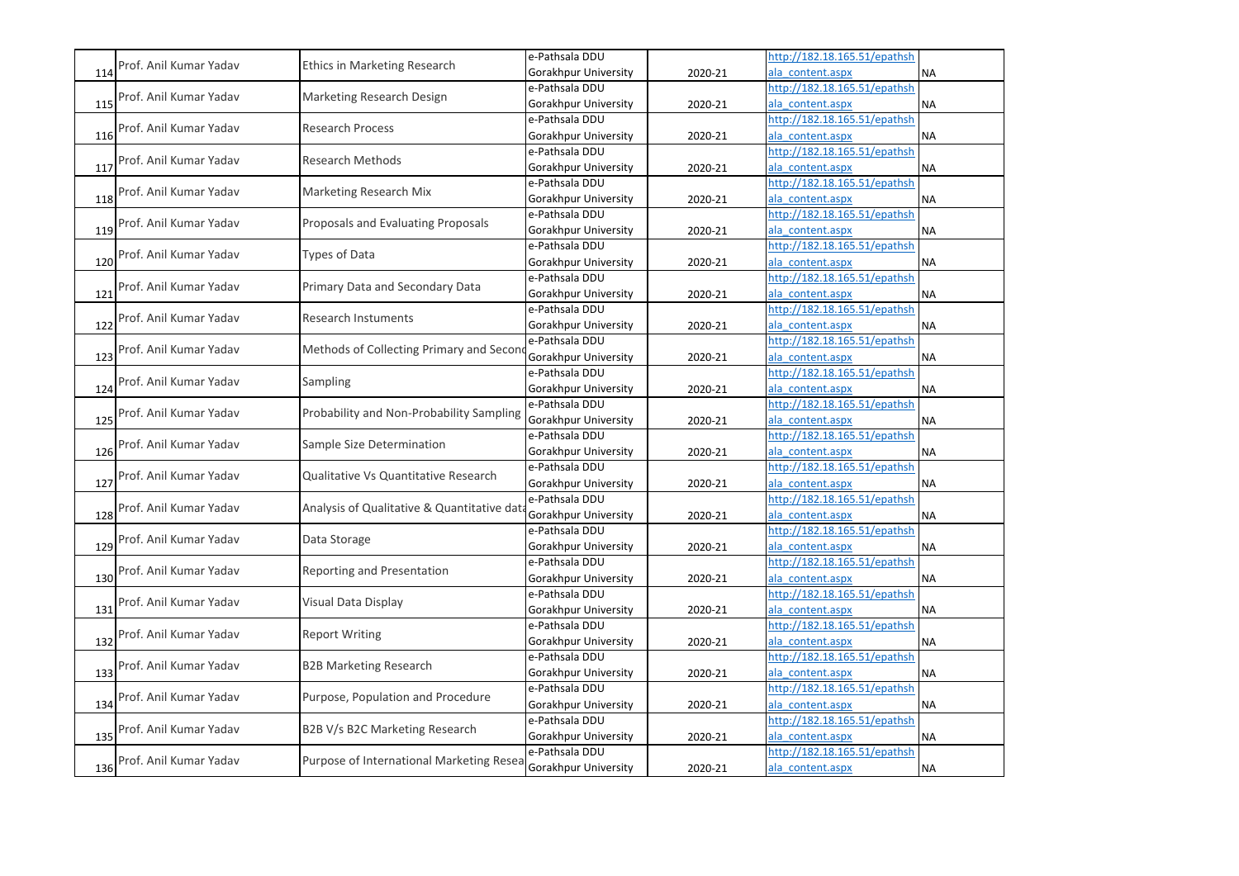|     |                        |                                            | e-Pathsala DDU       |         | http://182.18.165.51/epathsh |           |
|-----|------------------------|--------------------------------------------|----------------------|---------|------------------------------|-----------|
| 114 | Prof. Anil Kumar Yadav | Ethics in Marketing Research               | Gorakhpur University | 2020-21 | ala content.aspx             | <b>NA</b> |
|     |                        |                                            | e-Pathsala DDU       |         | http://182.18.165.51/epathsh |           |
| 115 | Prof. Anil Kumar Yadav | Marketing Research Design                  | Gorakhpur University | 2020-21 | ala content.aspx             | <b>NA</b> |
|     |                        |                                            | e-Pathsala DDU       |         | http://182.18.165.51/epathsh |           |
| 116 | Prof. Anil Kumar Yadav | <b>Research Process</b>                    | Gorakhpur University | 2020-21 | ala content.aspx             | <b>NA</b> |
|     |                        |                                            | e-Pathsala DDU       |         | http://182.18.165.51/epathsh |           |
| 117 | Prof. Anil Kumar Yadav | <b>Research Methods</b>                    | Gorakhpur University | 2020-21 | ala content.aspx             | <b>NA</b> |
|     |                        |                                            | e-Pathsala DDU       |         | http://182.18.165.51/epathsh |           |
| 118 | Prof. Anil Kumar Yadav | Marketing Research Mix                     | Gorakhpur University | 2020-21 | ala content.aspx             | <b>NA</b> |
|     |                        |                                            | e-Pathsala DDU       |         | http://182.18.165.51/epathsh |           |
| 119 | Prof. Anil Kumar Yadav | Proposals and Evaluating Proposals         | Gorakhpur University | 2020-21 | ala content.aspx             | <b>NA</b> |
|     |                        |                                            | e-Pathsala DDU       |         | http://182.18.165.51/epathsh |           |
| 120 | Prof. Anil Kumar Yadav | Types of Data                              | Gorakhpur University | 2020-21 | ala content.aspx             | <b>NA</b> |
|     | Prof. Anil Kumar Yadav |                                            | e-Pathsala DDU       |         | http://182.18.165.51/epathsh |           |
| 121 |                        | Primary Data and Secondary Data            | Gorakhpur University | 2020-21 | ala content.aspx             | <b>NA</b> |
|     |                        |                                            | e-Pathsala DDU       |         | http://182.18.165.51/epathsh |           |
| 122 | Prof. Anil Kumar Yadav | <b>Research Instuments</b>                 | Gorakhpur University | 2020-21 | ala content.aspx             | <b>NA</b> |
|     |                        |                                            | e-Pathsala DDU       |         | http://182.18.165.51/epathsh |           |
| 123 | Prof. Anil Kumar Yadav | Methods of Collecting Primary and Secon    | Gorakhpur University | 2020-21 | ala_content.aspx             | <b>NA</b> |
|     |                        |                                            | e-Pathsala DDU       |         | http://182.18.165.51/epathsh |           |
| 124 | Prof. Anil Kumar Yadav | Sampling                                   | Gorakhpur University | 2020-21 | ala content.aspx             | <b>NA</b> |
|     |                        |                                            | e-Pathsala DDU       |         | http://182.18.165.51/epathsh |           |
| 125 | Prof. Anil Kumar Yadav | Probability and Non-Probability Sampling   | Gorakhpur University | 2020-21 | ala content.aspx             | <b>NA</b> |
|     |                        |                                            | e-Pathsala DDU       |         | http://182.18.165.51/epathsh |           |
| 126 | Prof. Anil Kumar Yadav | Sample Size Determination                  | Gorakhpur University | 2020-21 | ala content.aspx             | <b>NA</b> |
|     |                        |                                            | e-Pathsala DDU       |         | http://182.18.165.51/epathsh |           |
| 127 | Prof. Anil Kumar Yadav | Qualitative Vs Quantitative Research       | Gorakhpur University | 2020-21 | ala content.aspx             | <b>NA</b> |
|     |                        |                                            | e-Pathsala DDU       |         | http://182.18.165.51/epathsh |           |
| 128 | Prof. Anil Kumar Yadav | Analysis of Qualitative & Quantitative dat | Gorakhpur University | 2020-21 | ala content.aspx             | <b>NA</b> |
|     |                        |                                            | e-Pathsala DDU       |         | http://182.18.165.51/epathsh |           |
| 129 | Prof. Anil Kumar Yadav | Data Storage                               | Gorakhpur University | 2020-21 | ala content.aspx             | <b>NA</b> |
|     |                        |                                            | e-Pathsala DDU       |         | http://182.18.165.51/epathsh |           |
| 130 | Prof. Anil Kumar Yadav | Reporting and Presentation                 | Gorakhpur University | 2020-21 | ala content.aspx             | <b>NA</b> |
|     |                        |                                            | e-Pathsala DDU       |         | http://182.18.165.51/epathsh |           |
| 131 | Prof. Anil Kumar Yadav | Visual Data Display                        | Gorakhpur University | 2020-21 | ala content.aspx             | <b>NA</b> |
|     |                        |                                            | e-Pathsala DDU       |         | http://182.18.165.51/epathsh |           |
| 132 | Prof. Anil Kumar Yadav | <b>Report Writing</b>                      | Gorakhpur University | 2020-21 | ala content.aspx             | <b>NA</b> |
|     |                        |                                            | e-Pathsala DDU       |         | http://182.18.165.51/epathsh |           |
| 133 | Prof. Anil Kumar Yadav | <b>B2B Marketing Research</b>              | Gorakhpur University | 2020-21 | ala content.aspx             | <b>NA</b> |
|     |                        |                                            | e-Pathsala DDU       |         | http://182.18.165.51/epathsh |           |
| 134 | Prof. Anil Kumar Yadav | Purpose, Population and Procedure          | Gorakhpur University | 2020-21 | ala content.aspx             | <b>NA</b> |
|     |                        |                                            | e-Pathsala DDU       |         | http://182.18.165.51/epathsh |           |
| 135 | Prof. Anil Kumar Yadav | B2B V/s B2C Marketing Research             | Gorakhpur University | 2020-21 | ala content.aspx             | <b>NA</b> |
|     |                        |                                            | e-Pathsala DDU       |         | http://182.18.165.51/epathsh |           |
| 136 | Prof. Anil Kumar Yadav | Purpose of International Marketing Resea   | Gorakhpur University | 2020-21 | ala_content.aspx             | NA        |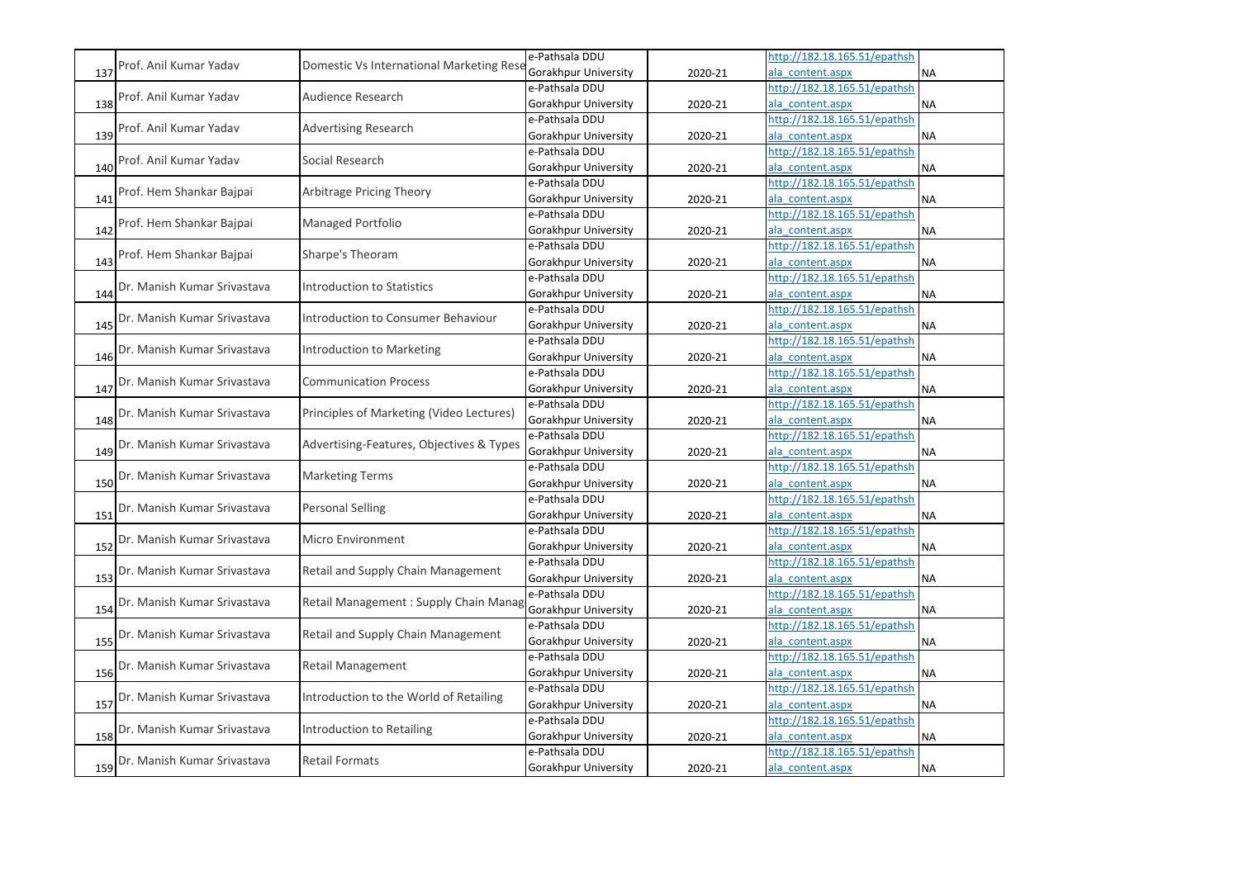|     |                                                                         |                                          | e-Pathsala DDU              |                              | http://182.18.165.51/epathsh |           |
|-----|-------------------------------------------------------------------------|------------------------------------------|-----------------------------|------------------------------|------------------------------|-----------|
| 137 | Prof. Anil Kumar Yadav                                                  | Domestic Vs International Marketing Rese | Gorakhpur University        | 2020-21                      | ala content.aspx             | <b>NA</b> |
|     | Prof. Anil Kumar Yadav                                                  | <b>Audience Research</b>                 | e-Pathsala DDU              |                              | http://182.18.165.51/epathsh |           |
| 138 |                                                                         |                                          | Gorakhpur University        | 2020-21                      | ala content.aspx             | <b>NA</b> |
|     | Prof. Anil Kumar Yadav                                                  | <b>Advertising Research</b>              | e-Pathsala DDU              |                              | http://182.18.165.51/epathsh |           |
| 139 |                                                                         |                                          | Gorakhpur University        | 2020-21                      | ala content.aspx             | <b>NA</b> |
|     | Prof. Anil Kumar Yadav                                                  | Social Research                          | e-Pathsala DDU              |                              | http://182.18.165.51/epathsh |           |
| 140 |                                                                         |                                          | Gorakhpur University        | 2020-21                      | ala content.aspx             | <b>NA</b> |
|     | Prof. Hem Shankar Bajpai                                                | Arbitrage Pricing Theory                 | e-Pathsala DDU              |                              | http://182.18.165.51/epathsh |           |
| 141 |                                                                         |                                          | Gorakhpur University        | 2020-21                      | ala content.aspx             | <b>NA</b> |
|     | Prof. Hem Shankar Bajpai                                                | Managed Portfolio                        | e-Pathsala DDU              |                              | http://182.18.165.51/epathsh |           |
| 142 |                                                                         |                                          | Gorakhpur University        | 2020-21                      | ala content.aspx             | <b>NA</b> |
|     | Prof. Hem Shankar Bajpai                                                | Sharpe's Theoram                         | e-Pathsala DDU              |                              | http://182.18.165.51/epathsh |           |
| 143 |                                                                         |                                          | Gorakhpur University        | 2020-21                      | ala_content.aspx             | <b>NA</b> |
|     | Dr. Manish Kumar Srivastava                                             | <b>Introduction to Statistics</b>        | e-Pathsala DDU              |                              | http://182.18.165.51/epathsh |           |
| 144 |                                                                         |                                          | Gorakhpur University        | 2020-21                      | ala content.aspx             | <b>NA</b> |
|     | Dr. Manish Kumar Srivastava                                             | Introduction to Consumer Behaviour       | e-Pathsala DDU              |                              | http://182.18.165.51/epathsh |           |
| 145 |                                                                         |                                          | Gorakhpur University        | 2020-21                      | ala content.aspx             | <b>NA</b> |
|     | Dr. Manish Kumar Srivastava                                             | Introduction to Marketing                | e-Pathsala DDU              |                              | http://182.18.165.51/epathsh |           |
| 146 |                                                                         |                                          | Gorakhpur University        | 2020-21                      | ala_content.aspx             | <b>NA</b> |
|     | Dr. Manish Kumar Srivastava                                             | <b>Communication Process</b>             | e-Pathsala DDU              |                              | http://182.18.165.51/epathsh |           |
| 147 |                                                                         |                                          | Gorakhpur University        | 2020-21                      | ala content.aspx             | <b>NA</b> |
|     | Principles of Marketing (Video Lectures)<br>Dr. Manish Kumar Srivastava | e-Pathsala DDU                           |                             | http://182.18.165.51/epathsh |                              |           |
| 148 |                                                                         |                                          | Gorakhpur University        | 2020-21                      | ala content.aspx             | <b>NA</b> |
|     | Dr. Manish Kumar Srivastava                                             | Advertising-Features, Objectives & Types | e-Pathsala DDU              |                              | http://182.18.165.51/epathsh |           |
| 149 |                                                                         |                                          | <b>Gorakhpur University</b> | 2020-21                      | ala content.aspx             | <b>NA</b> |
|     | Dr. Manish Kumar Srivastava                                             | <b>Marketing Terms</b>                   | e-Pathsala DDU              |                              | http://182.18.165.51/epathsh |           |
| 150 |                                                                         |                                          | Gorakhpur University        | 2020-21                      | ala content.aspx             | <b>NA</b> |
|     | Dr. Manish Kumar Srivastava                                             | <b>Personal Selling</b>                  | e-Pathsala DDU              |                              | http://182.18.165.51/epathsh |           |
| 151 |                                                                         |                                          | Gorakhpur University        | 2020-21                      | ala content.aspx             | <b>NA</b> |
|     | Dr. Manish Kumar Srivastava                                             | <b>Micro Environment</b>                 | e-Pathsala DDU              |                              | http://182.18.165.51/epathsh |           |
| 152 |                                                                         |                                          | Gorakhpur University        | 2020-21                      | ala content.aspx             | <b>NA</b> |
|     | Dr. Manish Kumar Srivastava                                             | Retail and Supply Chain Management       | e-Pathsala DDU              |                              | http://182.18.165.51/epathsh |           |
| 153 |                                                                         |                                          | Gorakhpur University        | 2020-21                      | ala content.aspx             | <b>NA</b> |
|     | Dr. Manish Kumar Srivastava                                             | Retail Management: Supply Chain Manag    | e-Pathsala DDU              |                              | http://182.18.165.51/epathsh |           |
| 154 |                                                                         |                                          | Gorakhpur University        | 2020-21                      | ala content.aspx             | <b>NA</b> |
|     | Dr. Manish Kumar Srivastava                                             | Retail and Supply Chain Management       | e-Pathsala DDU              |                              | http://182.18.165.51/epathsh |           |
| 155 |                                                                         |                                          | Gorakhpur University        | 2020-21                      | ala content.aspx             | <b>NA</b> |
|     | Dr. Manish Kumar Srivastava                                             | Retail Management                        | e-Pathsala DDU              |                              | http://182.18.165.51/epathsh |           |
| 156 |                                                                         |                                          | Gorakhpur University        | 2020-21                      | ala content.aspx             | <b>NA</b> |
|     | Dr. Manish Kumar Srivastava                                             | Introduction to the World of Retailing   | e-Pathsala DDU              |                              | http://182.18.165.51/epathsh |           |
| 157 |                                                                         |                                          | Gorakhpur University        | 2020-21                      | ala content.aspx             | <b>NA</b> |
|     | Dr. Manish Kumar Srivastava                                             | Introduction to Retailing                | e-Pathsala DDU              |                              | http://182.18.165.51/epathsh |           |
| 158 |                                                                         |                                          | Gorakhpur University        | 2020-21                      | ala content.aspx             | <b>NA</b> |
|     | Dr. Manish Kumar Srivastava                                             | <b>Retail Formats</b>                    | e-Pathsala DDU              |                              | http://182.18.165.51/epathsh |           |
| 159 |                                                                         |                                          | Gorakhpur University        | 2020-21                      | ala_content.aspx             | <b>NA</b> |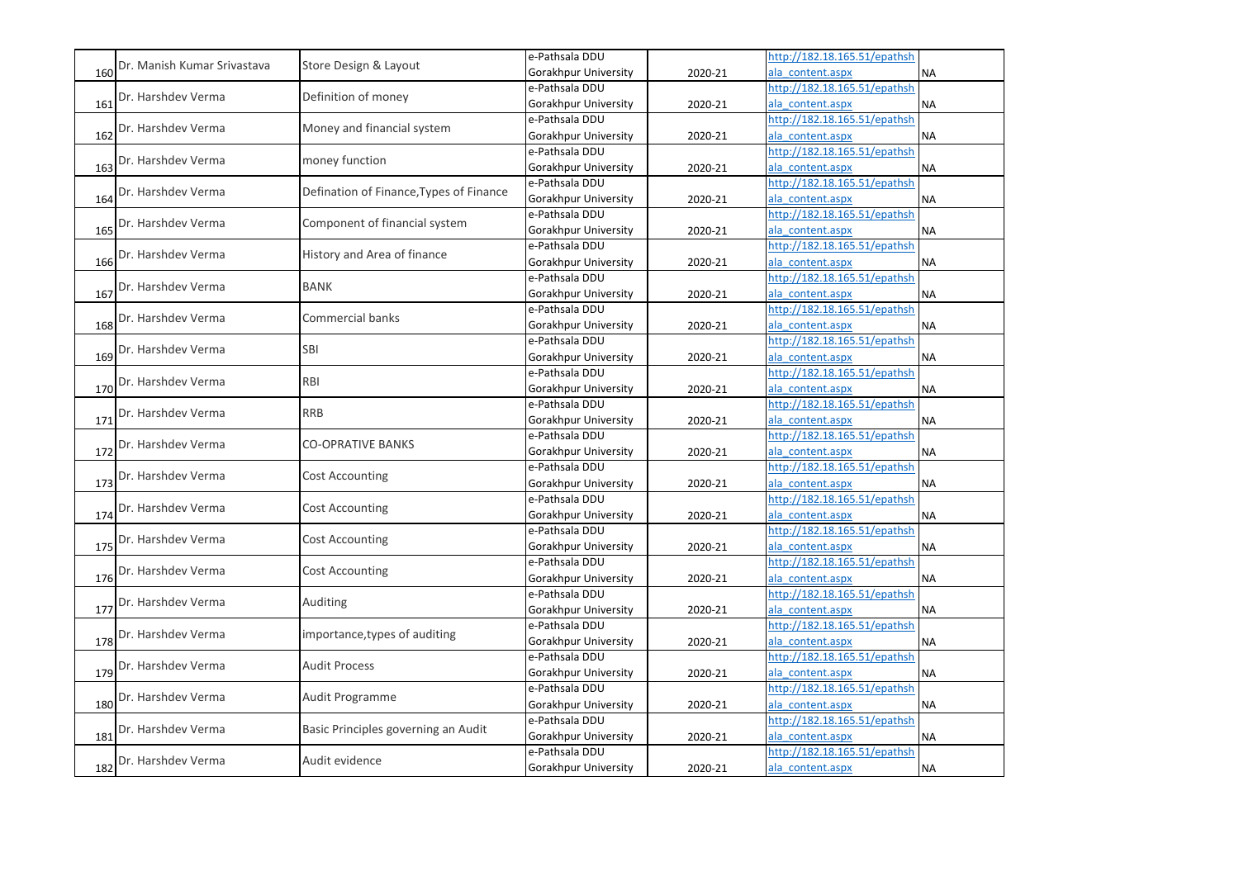|     |                             |                                         | e-Pathsala DDU       |         | http://182.18.165.51/epathsh |           |
|-----|-----------------------------|-----------------------------------------|----------------------|---------|------------------------------|-----------|
| 160 | Dr. Manish Kumar Srivastava | Store Design & Layout                   | Gorakhpur University | 2020-21 | ala content.aspx             | <b>NA</b> |
|     |                             |                                         | e-Pathsala DDU       |         | http://182.18.165.51/epathsh |           |
| 161 | Dr. Harshdev Verma          | Definition of money                     | Gorakhpur University | 2020-21 | ala content.aspx             | <b>NA</b> |
|     |                             |                                         | e-Pathsala DDU       |         | http://182.18.165.51/epathsh |           |
| 162 | Dr. Harshdev Verma          | Money and financial system              | Gorakhpur University | 2020-21 | ala content.aspx             | <b>NA</b> |
|     |                             |                                         | e-Pathsala DDU       |         | http://182.18.165.51/epathsh |           |
| 163 | Dr. Harshdev Verma          | money function                          | Gorakhpur University | 2020-21 | ala content.aspx             | <b>NA</b> |
|     |                             |                                         | e-Pathsala DDU       |         | http://182.18.165.51/epathsh |           |
| 164 | Dr. Harshdev Verma          | Defination of Finance, Types of Finance | Gorakhpur University | 2020-21 | ala content.aspx             | <b>NA</b> |
|     |                             |                                         | e-Pathsala DDU       |         | http://182.18.165.51/epathsh |           |
| 165 | Dr. Harshdev Verma          | Component of financial system           | Gorakhpur University | 2020-21 | ala content.aspx             | <b>NA</b> |
|     |                             |                                         | e-Pathsala DDU       |         | http://182.18.165.51/epathsh |           |
| 166 | Dr. Harshdev Verma          | History and Area of finance             | Gorakhpur University | 2020-21 | ala content.aspx             | <b>NA</b> |
|     |                             |                                         | e-Pathsala DDU       |         | http://182.18.165.51/epathsh |           |
| 167 | Dr. Harshdev Verma          | <b>BANK</b>                             | Gorakhpur University | 2020-21 | ala content.aspx             | <b>NA</b> |
|     |                             |                                         | e-Pathsala DDU       |         | http://182.18.165.51/epathsh |           |
| 168 | Dr. Harshdev Verma          | <b>Commercial banks</b>                 | Gorakhpur University | 2020-21 | ala content.aspx             | <b>NA</b> |
|     |                             |                                         | e-Pathsala DDU       |         | http://182.18.165.51/epathsh |           |
| 169 | Dr. Harshdev Verma          | SBI                                     | Gorakhpur University | 2020-21 | ala_content.aspx             | <b>NA</b> |
|     |                             |                                         | e-Pathsala DDU       |         | http://182.18.165.51/epathsh |           |
| 170 | Dr. Harshdev Verma          | <b>RBI</b>                              | Gorakhpur University | 2020-21 | ala content.aspx             | <b>NA</b> |
|     |                             |                                         | e-Pathsala DDU       |         | http://182.18.165.51/epathsh |           |
| 171 | Dr. Harshdev Verma          | <b>RRB</b>                              | Gorakhpur University | 2020-21 | ala content.aspx             | <b>NA</b> |
|     |                             |                                         | e-Pathsala DDU       |         | http://182.18.165.51/epathsh |           |
| 172 | Dr. Harshdev Verma          | <b>CO-OPRATIVE BANKS</b>                | Gorakhpur University | 2020-21 | ala content.aspx             | <b>NA</b> |
|     |                             |                                         | e-Pathsala DDU       |         | http://182.18.165.51/epathsh |           |
| 173 | Dr. Harshdev Verma          | <b>Cost Accounting</b>                  | Gorakhpur University | 2020-21 | ala content.aspx             | <b>NA</b> |
|     |                             |                                         | e-Pathsala DDU       |         | http://182.18.165.51/epathsh |           |
| 174 | Dr. Harshdev Verma          | Cost Accounting                         | Gorakhpur University | 2020-21 | ala content.aspx             | <b>NA</b> |
|     |                             |                                         | e-Pathsala DDU       |         | http://182.18.165.51/epathsh |           |
| 175 | Dr. Harshdev Verma          | <b>Cost Accounting</b>                  | Gorakhpur University | 2020-21 | ala content.aspx             | <b>NA</b> |
|     |                             |                                         | e-Pathsala DDU       |         | http://182.18.165.51/epathsh |           |
| 176 | Dr. Harshdev Verma          | <b>Cost Accounting</b>                  | Gorakhpur University | 2020-21 | ala content.aspx             | <b>NA</b> |
|     |                             |                                         | e-Pathsala DDU       |         | http://182.18.165.51/epathsh |           |
| 177 | Dr. Harshdev Verma          | Auditing                                | Gorakhpur University | 2020-21 | ala content.aspx             | <b>NA</b> |
|     |                             |                                         | e-Pathsala DDU       |         | http://182.18.165.51/epathsh |           |
| 178 | Dr. Harshdev Verma          | importance, types of auditing           | Gorakhpur University | 2020-21 | ala content.aspx             | <b>NA</b> |
|     |                             |                                         | e-Pathsala DDU       |         | http://182.18.165.51/epathsh |           |
| 179 | Dr. Harshdev Verma          | <b>Audit Process</b>                    | Gorakhpur University | 2020-21 | ala content.aspx             | <b>NA</b> |
|     |                             |                                         | e-Pathsala DDU       |         | http://182.18.165.51/epathsh |           |
| 180 | Dr. Harshdev Verma          | Audit Programme                         | Gorakhpur University | 2020-21 | ala content.aspx             | <b>NA</b> |
|     |                             |                                         | e-Pathsala DDU       |         | http://182.18.165.51/epathsh |           |
| 181 | Dr. Harshdev Verma          | Basic Principles governing an Audit     | Gorakhpur University | 2020-21 | ala content.aspx             | <b>NA</b> |
|     |                             |                                         | e-Pathsala DDU       |         | http://182.18.165.51/epathsh |           |
| 182 | Dr. Harshdev Verma          | Audit evidence                          | Gorakhpur University | 2020-21 | ala content.aspx             | <b>NA</b> |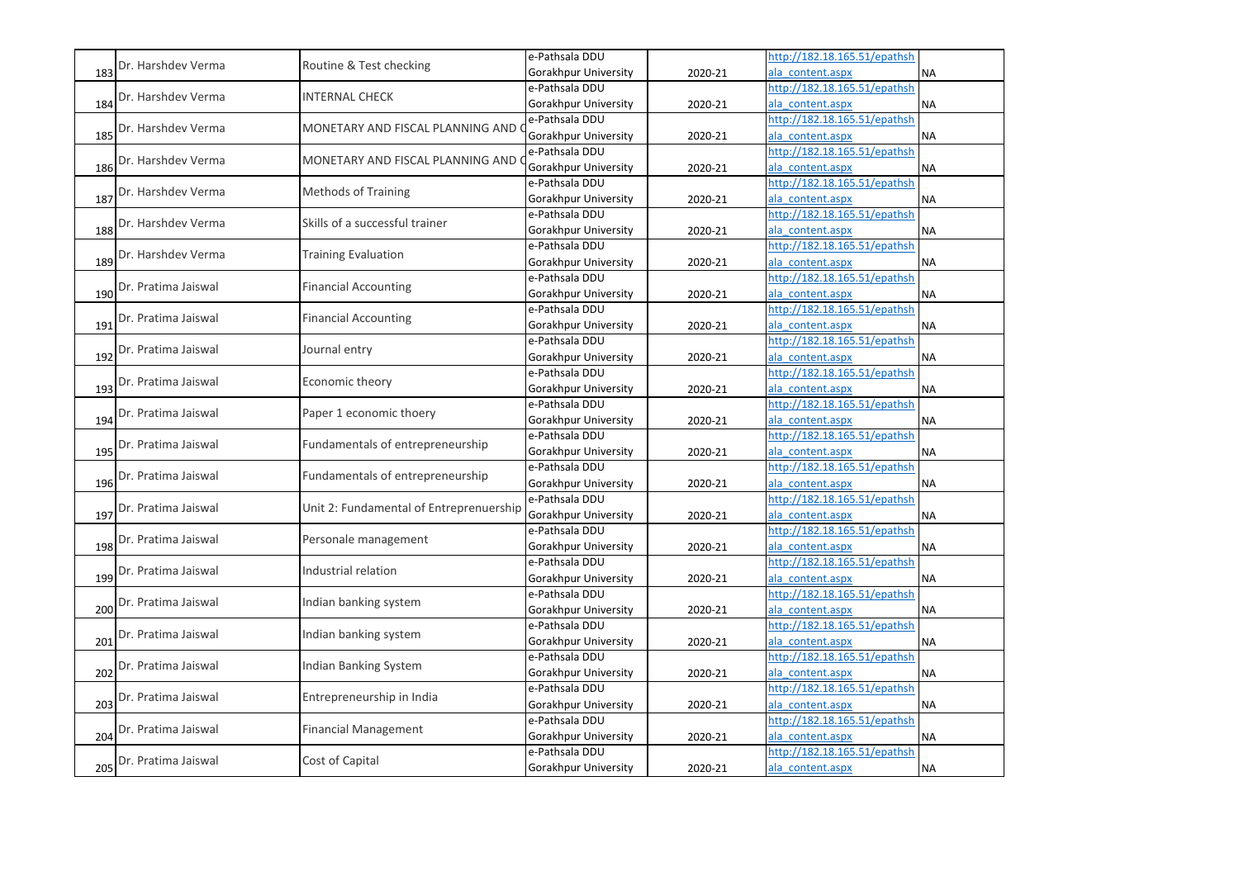|     |                     |                                         | e-Pathsala DDU       |         | http://182.18.165.51/epathsh |           |
|-----|---------------------|-----------------------------------------|----------------------|---------|------------------------------|-----------|
| 183 | Dr. Harshdev Verma  | Routine & Test checking                 | Gorakhpur University | 2020-21 | ala content.aspx             | <b>NA</b> |
|     | Dr. Harshdev Verma  | <b>INTERNAL CHECK</b>                   | e-Pathsala DDU       |         | http://182.18.165.51/epathsh |           |
| 184 |                     |                                         | Gorakhpur University | 2020-21 | ala content.aspx             | <b>NA</b> |
|     | Dr. Harshdev Verma  | MONETARY AND FISCAL PLANNING AND        | e-Pathsala DDU       |         | http://182.18.165.51/epathsh |           |
| 185 |                     |                                         | Gorakhpur University | 2020-21 | ala content.aspx             | <b>NA</b> |
|     | Dr. Harshdev Verma  | MONETARY AND FISCAL PLANNING AND        | e-Pathsala DDU       |         | http://182.18.165.51/epathsh |           |
| 186 |                     |                                         | Gorakhpur University | 2020-21 | ala content.aspx             | <b>NA</b> |
|     | Dr. Harshdev Verma  | <b>Methods of Training</b>              | e-Pathsala DDU       |         | http://182.18.165.51/epathsh |           |
| 187 |                     |                                         | Gorakhpur University | 2020-21 | ala content.aspx             | <b>NA</b> |
|     | Dr. Harshdev Verma  | Skills of a successful trainer          | e-Pathsala DDU       |         | http://182.18.165.51/epathsh |           |
| 188 |                     |                                         | Gorakhpur University | 2020-21 | ala content.aspx             | <b>NA</b> |
|     | Dr. Harshdev Verma  | <b>Training Evaluation</b>              | e-Pathsala DDU       |         | http://182.18.165.51/epathsh |           |
| 189 |                     |                                         | Gorakhpur University | 2020-21 | ala content.aspx             | <b>NA</b> |
|     | Dr. Pratima Jaiswal | <b>Financial Accounting</b>             | e-Pathsala DDU       |         | http://182.18.165.51/epathsh |           |
| 190 |                     |                                         | Gorakhpur University | 2020-21 | ala content.aspx             | <b>NA</b> |
|     | Dr. Pratima Jaiswal | <b>Financial Accounting</b>             | e-Pathsala DDU       |         | http://182.18.165.51/epathsh |           |
| 191 |                     |                                         | Gorakhpur University | 2020-21 | ala content.aspx             | <b>NA</b> |
|     | Dr. Pratima Jaiswal | Journal entry                           | e-Pathsala DDU       |         | http://182.18.165.51/epathsh |           |
| 192 |                     |                                         | Gorakhpur University | 2020-21 | ala content.aspx             | <b>NA</b> |
|     | Dr. Pratima Jaiswal | Economic theory                         | e-Pathsala DDU       |         | http://182.18.165.51/epathsh |           |
| 193 |                     |                                         | Gorakhpur University | 2020-21 | ala_content.aspx             | <b>NA</b> |
|     | Dr. Pratima Jaiswal | Paper 1 economic thoery                 | e-Pathsala DDU       |         | http://182.18.165.51/epathsh |           |
| 194 |                     |                                         | Gorakhpur University | 2020-21 | ala content.aspx             | <b>NA</b> |
|     | Dr. Pratima Jaiswal | Fundamentals of entrepreneurship        | e-Pathsala DDU       |         | http://182.18.165.51/epathsh |           |
| 195 |                     |                                         | Gorakhpur University | 2020-21 | ala content.aspx             | <b>NA</b> |
|     | Dr. Pratima Jaiswal | Fundamentals of entrepreneurship        | e-Pathsala DDU       |         | http://182.18.165.51/epathsh |           |
| 196 |                     |                                         | Gorakhpur University | 2020-21 | ala content.aspx             | <b>NA</b> |
|     | Dr. Pratima Jaiswal | Unit 2: Fundamental of Entreprenuership | e-Pathsala DDU       |         | http://182.18.165.51/epathsh |           |
| 197 |                     |                                         | Gorakhpur University | 2020-21 | ala content.aspx             | <b>NA</b> |
|     | Dr. Pratima Jaiswal | Personale management                    | e-Pathsala DDU       |         | http://182.18.165.51/epathsh |           |
| 198 |                     |                                         | Gorakhpur University | 2020-21 | ala content.aspx             | <b>NA</b> |
|     | Dr. Pratima Jaiswal | Industrial relation                     | e-Pathsala DDU       |         | http://182.18.165.51/epathsh |           |
| 199 |                     |                                         | Gorakhpur University | 2020-21 | ala content.aspx             | <b>NA</b> |
|     | Dr. Pratima Jaiswal | Indian banking system                   | e-Pathsala DDU       |         | http://182.18.165.51/epathsh |           |
| 200 |                     |                                         | Gorakhpur University | 2020-21 | ala content.aspx             | <b>NA</b> |
|     | Dr. Pratima Jaiswal | Indian banking system                   | e-Pathsala DDU       |         | http://182.18.165.51/epathsh |           |
| 201 |                     |                                         | Gorakhpur University | 2020-21 | ala content.aspx             | <b>NA</b> |
|     | Dr. Pratima Jaiswal | <b>Indian Banking System</b>            | e-Pathsala DDU       |         | http://182.18.165.51/epathsh |           |
| 202 |                     |                                         | Gorakhpur University | 2020-21 | ala content.aspx             | <b>NA</b> |
|     | Dr. Pratima Jaiswal | Entrepreneurship in India               | e-Pathsala DDU       |         | http://182.18.165.51/epathsh |           |
| 203 |                     |                                         | Gorakhpur University | 2020-21 | ala content.aspx             | <b>NA</b> |
|     | Dr. Pratima Jaiswal | <b>Financial Management</b>             | e-Pathsala DDU       |         | http://182.18.165.51/epathsh |           |
| 204 |                     |                                         | Gorakhpur University | 2020-21 | ala content.aspx             | <b>NA</b> |
|     | Dr. Pratima Jaiswal | Cost of Capital                         | e-Pathsala DDU       |         | http://182.18.165.51/epathsh |           |
| 205 |                     |                                         | Gorakhpur University | 2020-21 | ala_content.aspx             | <b>NA</b> |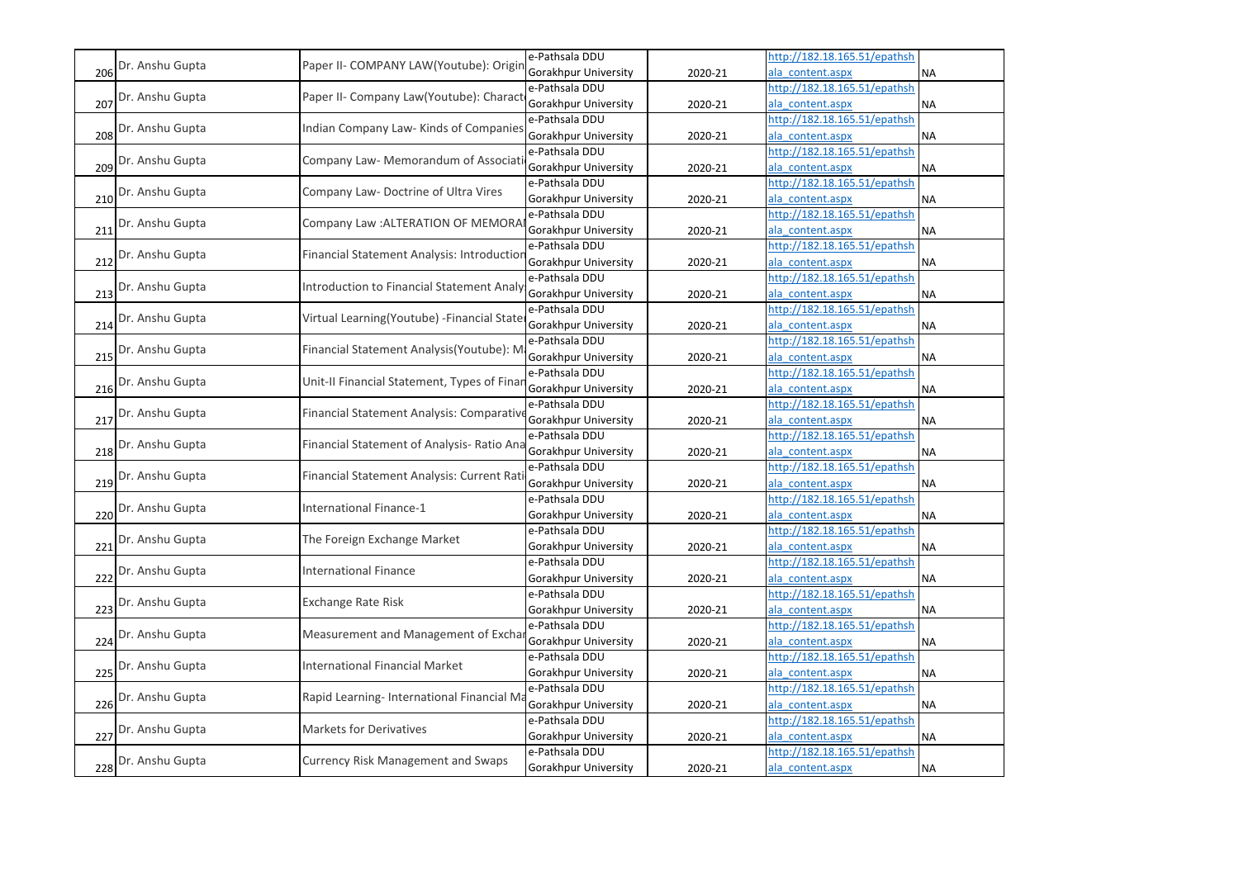|     |                 |                                             | e-Pathsala DDU              |         | http://182.18.165.51/epathsh |           |
|-----|-----------------|---------------------------------------------|-----------------------------|---------|------------------------------|-----------|
| 206 | Dr. Anshu Gupta | Paper II- COMPANY LAW(Youtube): Origin      | Gorakhpur University        | 2020-21 | ala content.aspx             | <b>NA</b> |
|     |                 | Paper II- Company Law(Youtube): Charact     | e-Pathsala DDU              |         | http://182.18.165.51/epathsh |           |
| 207 | Dr. Anshu Gupta |                                             | Gorakhpur University        | 2020-21 | ala content.aspx             | <b>NA</b> |
|     |                 |                                             | e-Pathsala DDU              |         | http://182.18.165.51/epathsh |           |
| 208 | Dr. Anshu Gupta | Indian Company Law- Kinds of Companies      | Gorakhpur University        | 2020-21 | ala content.aspx             | <b>NA</b> |
|     |                 |                                             | e-Pathsala DDU              |         | http://182.18.165.51/epathsh |           |
| 209 | Dr. Anshu Gupta | Company Law- Memorandum of Associat         | Gorakhpur University        | 2020-21 | ala content.aspx             | <b>NA</b> |
|     |                 |                                             | e-Pathsala DDU              |         | http://182.18.165.51/epathsh |           |
| 210 | Dr. Anshu Gupta | Company Law- Doctrine of Ultra Vires        | Gorakhpur University        | 2020-21 | ala content.aspx             | <b>NA</b> |
|     |                 |                                             | e-Pathsala DDU              |         | http://182.18.165.51/epathsh |           |
| 211 | Dr. Anshu Gupta | Company Law : ALTERATION OF MEMORA          | Gorakhpur University        | 2020-21 | ala content.aspx             | <b>NA</b> |
|     |                 | Financial Statement Analysis: Introductior  | e-Pathsala DDU              |         | http://182.18.165.51/epathsh |           |
| 212 | Dr. Anshu Gupta |                                             | Gorakhpur University        | 2020-21 | ala content.aspx             | <b>NA</b> |
|     |                 | Introduction to Financial Statement Analy   | e-Pathsala DDU              |         | http://182.18.165.51/epathsh |           |
| 213 | Dr. Anshu Gupta |                                             | Gorakhpur University        | 2020-21 | ala content.aspx             | <b>NA</b> |
|     |                 |                                             | e-Pathsala DDU              |         | http://182.18.165.51/epathsh |           |
| 214 | Dr. Anshu Gupta | Virtual Learning(Youtube) - Financial State | Gorakhpur University        | 2020-21 | ala content.aspx             | <b>NA</b> |
|     |                 |                                             | e-Pathsala DDU              |         | http://182.18.165.51/epathsh |           |
| 215 | Dr. Anshu Gupta | Financial Statement Analysis(Youtube): M    | Gorakhpur University        | 2020-21 | ala content.aspx             | <b>NA</b> |
|     |                 | Unit-II Financial Statement, Types of Finar | e-Pathsala DDU              |         | http://182.18.165.51/epathsh |           |
| 216 | Dr. Anshu Gupta |                                             | Gorakhpur University        | 2020-21 | ala content.aspx             | <b>NA</b> |
|     |                 |                                             | e-Pathsala DDU              |         | http://182.18.165.51/epathsh |           |
| 217 | Dr. Anshu Gupta | Financial Statement Analysis: Comparativ    | Gorakhpur University        | 2020-21 | ala content.aspx             | <b>NA</b> |
|     |                 |                                             | e-Pathsala DDU              |         | http://182.18.165.51/epathsh |           |
| 218 | Dr. Anshu Gupta | Financial Statement of Analysis- Ratio Ana  | <b>Gorakhpur University</b> | 2020-21 | ala content.aspx             | <b>NA</b> |
|     |                 |                                             | e-Pathsala DDU              |         | http://182.18.165.51/epathsh |           |
| 219 | Dr. Anshu Gupta | Financial Statement Analysis: Current Rati  | Gorakhpur University        | 2020-21 | ala content.aspx             | <b>NA</b> |
|     |                 |                                             | e-Pathsala DDU              |         | http://182.18.165.51/epathsh |           |
| 220 | Dr. Anshu Gupta | <b>International Finance-1</b>              | Gorakhpur University        | 2020-21 | ala content.aspx             | NA        |
|     |                 |                                             | e-Pathsala DDU              |         | http://182.18.165.51/epathsh |           |
| 221 | Dr. Anshu Gupta | The Foreign Exchange Market                 | Gorakhpur University        | 2020-21 | ala content.aspx             | <b>NA</b> |
|     |                 |                                             | e-Pathsala DDU              |         | http://182.18.165.51/epathsh |           |
| 222 | Dr. Anshu Gupta | <b>International Finance</b>                | Gorakhpur University        | 2020-21 | ala content.aspx             | <b>NA</b> |
|     |                 |                                             | e-Pathsala DDU              |         | http://182.18.165.51/epathsh |           |
| 223 | Dr. Anshu Gupta | <b>Exchange Rate Risk</b>                   | Gorakhpur University        | 2020-21 | ala content.aspx             | <b>NA</b> |
|     |                 |                                             | e-Pathsala DDU              |         | http://182.18.165.51/epathsh |           |
| 224 | Dr. Anshu Gupta | Measurement and Management of Exchar        | Gorakhpur University        | 2020-21 | ala content.aspx             | <b>NA</b> |
|     |                 |                                             | e-Pathsala DDU              |         | http://182.18.165.51/epathsh |           |
| 225 | Dr. Anshu Gupta | <b>International Financial Market</b>       | Gorakhpur University        | 2020-21 | ala content.aspx             | <b>NA</b> |
|     |                 |                                             | e-Pathsala DDU              |         | http://182.18.165.51/epathsh |           |
| 226 | Dr. Anshu Gupta | Rapid Learning- International Financial Ma  | Gorakhpur University        | 2020-21 | ala content.aspx             | <b>NA</b> |
|     |                 |                                             | e-Pathsala DDU              |         | http://182.18.165.51/epathsh |           |
| 227 | Dr. Anshu Gupta | <b>Markets for Derivatives</b>              | Gorakhpur University        | 2020-21 | ala content.aspx             | <b>NA</b> |
|     |                 |                                             | e-Pathsala DDU              |         | http://182.18.165.51/epathsh |           |
| 228 | Dr. Anshu Gupta | <b>Currency Risk Management and Swaps</b>   | Gorakhpur University        | 2020-21 | ala_content.aspx             | <b>NA</b> |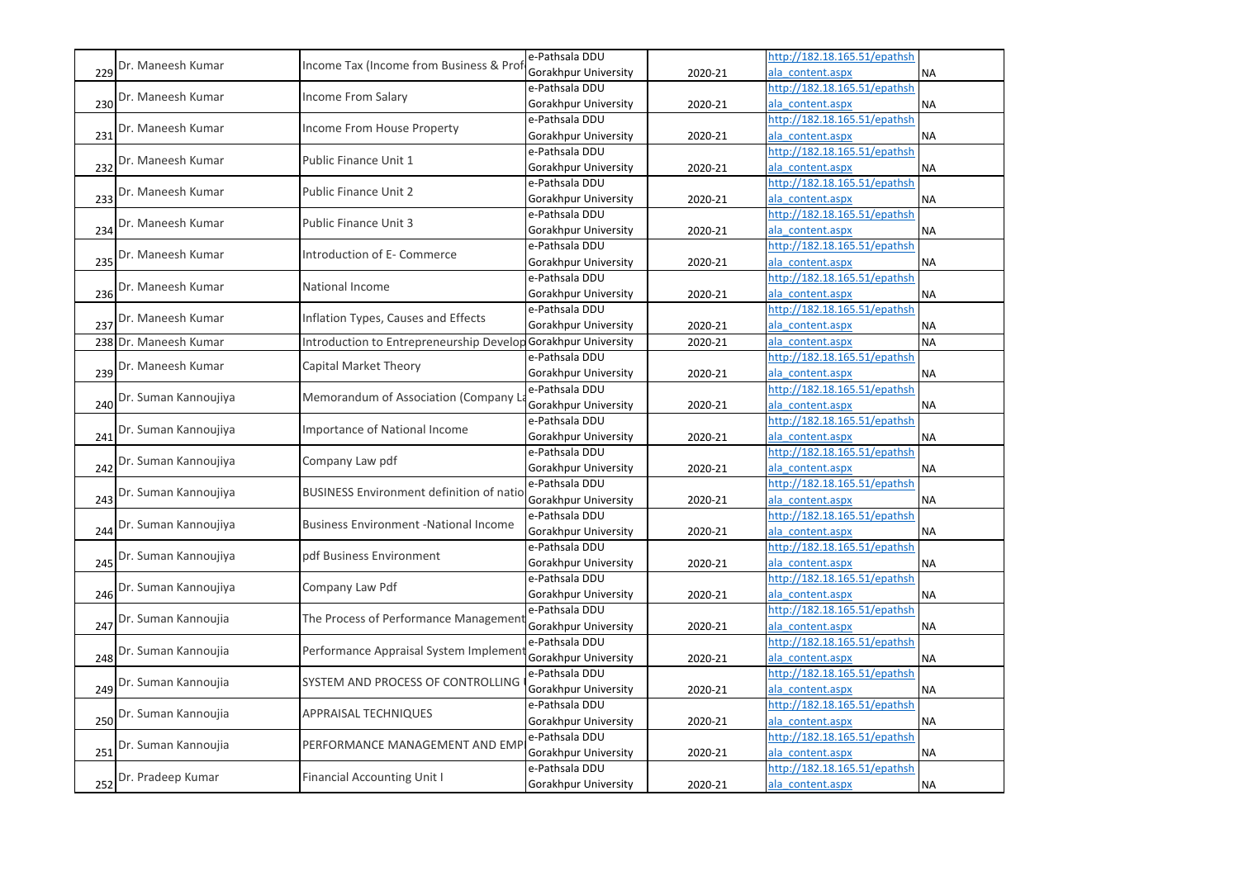|     |                       |                                                 | e-Pathsala DDU              |         | http://182.18.165.51/epathsh |           |
|-----|-----------------------|-------------------------------------------------|-----------------------------|---------|------------------------------|-----------|
| 229 | Dr. Maneesh Kumar     | Income Tax (Income from Business & Prof         | Gorakhpur University        | 2020-21 | ala content.aspx             | <b>NA</b> |
|     | Dr. Maneesh Kumar     | Income From Salary                              | e-Pathsala DDU              |         | http://182.18.165.51/epathsh |           |
| 230 |                       |                                                 | Gorakhpur University        | 2020-21 | ala content.aspx             | <b>NA</b> |
|     | Dr. Maneesh Kumar     | Income From House Property                      | e-Pathsala DDU              |         | http://182.18.165.51/epathsh |           |
| 231 |                       |                                                 | Gorakhpur University        | 2020-21 | ala content.aspx             | <b>NA</b> |
|     | Dr. Maneesh Kumar     | Public Finance Unit 1                           | e-Pathsala DDU              |         | http://182.18.165.51/epathsh |           |
| 232 |                       |                                                 | Gorakhpur University        | 2020-21 | ala content.aspx             | <b>NA</b> |
|     | Dr. Maneesh Kumar     | <b>Public Finance Unit 2</b>                    | e-Pathsala DDU              |         | http://182.18.165.51/epathsh |           |
| 233 |                       |                                                 | Gorakhpur University        | 2020-21 | ala content.aspx             | <b>NA</b> |
|     | Dr. Maneesh Kumar     | <b>Public Finance Unit 3</b>                    | e-Pathsala DDU              |         | http://182.18.165.51/epathsh |           |
| 234 |                       |                                                 | Gorakhpur University        | 2020-21 | ala content.aspx             | <b>NA</b> |
|     | Dr. Maneesh Kumar     | Introduction of E- Commerce                     | e-Pathsala DDU              |         | http://182.18.165.51/epathsh |           |
| 235 |                       |                                                 | Gorakhpur University        | 2020-21 | ala content.aspx             | <b>NA</b> |
|     | Dr. Maneesh Kumar     | National Income                                 | e-Pathsala DDU              |         | http://182.18.165.51/epathsh |           |
| 236 |                       |                                                 | Gorakhpur University        | 2020-21 | ala content.aspx             | <b>NA</b> |
|     |                       | Inflation Types, Causes and Effects             | e-Pathsala DDU              |         | http://182.18.165.51/epathsh |           |
| 237 | Dr. Maneesh Kumar     |                                                 | Gorakhpur University        | 2020-21 | ala content.aspx             | NA        |
|     | 238 Dr. Maneesh Kumar | Introduction to Entrepreneurship Develop        | <b>Gorakhpur University</b> | 2020-21 | ala content.aspx             | <b>NA</b> |
|     |                       |                                                 | e-Pathsala DDU              |         | http://182.18.165.51/epathsh |           |
| 239 | Dr. Maneesh Kumar     | Capital Market Theory                           | Gorakhpur University        | 2020-21 | ala content.aspx             | <b>NA</b> |
|     |                       |                                                 | e-Pathsala DDU              |         | http://182.18.165.51/epathsh |           |
| 240 | Dr. Suman Kannoujiya  | Memorandum of Association (Company L            | Gorakhpur University        | 2020-21 | ala content.aspx             | <b>NA</b> |
|     |                       |                                                 | e-Pathsala DDU              |         | http://182.18.165.51/epathsh |           |
| 241 | Dr. Suman Kannoujiya  | <b>Importance of National Income</b>            | Gorakhpur University        | 2020-21 | ala content.aspx             | <b>NA</b> |
|     |                       |                                                 | e-Pathsala DDU              |         | http://182.18.165.51/epathsh |           |
| 242 | Dr. Suman Kannoujiya  | Company Law pdf                                 | Gorakhpur University        | 2020-21 | ala content.aspx             | <b>NA</b> |
|     |                       |                                                 | e-Pathsala DDU              |         | http://182.18.165.51/epathsh |           |
| 243 | Dr. Suman Kannoujiya  | <b>BUSINESS Environment definition of natio</b> | Gorakhpur University        | 2020-21 | ala_content.aspx             | <b>NA</b> |
|     |                       |                                                 | e-Pathsala DDU              |         | http://182.18.165.51/epathsh |           |
| 244 | Dr. Suman Kannoujiya  | <b>Business Environment -National Income</b>    | Gorakhpur University        | 2020-21 | ala content.aspx             | <b>NA</b> |
|     |                       |                                                 | e-Pathsala DDU              |         | http://182.18.165.51/epathsh |           |
| 245 | Dr. Suman Kannoujiya  | pdf Business Environment                        | Gorakhpur University        | 2020-21 | ala content.aspx             | <b>NA</b> |
|     |                       |                                                 | e-Pathsala DDU              |         | http://182.18.165.51/epathsh |           |
| 246 | Dr. Suman Kannoujiya  | Company Law Pdf                                 | Gorakhpur University        | 2020-21 | ala content.aspx             | <b>NA</b> |
|     |                       |                                                 | e-Pathsala DDU              |         | http://182.18.165.51/epathsh |           |
| 247 | Dr. Suman Kannoujia   | The Process of Performance Managemen            | Gorakhpur University        | 2020-21 | ala content.aspx             | <b>NA</b> |
|     |                       |                                                 | e-Pathsala DDU              |         | http://182.18.165.51/epathsh |           |
| 248 | Dr. Suman Kannoujia   | Performance Appraisal System Implemen           | Gorakhpur University        | 2020-21 | ala content.aspx             | <b>NA</b> |
|     |                       |                                                 | e-Pathsala DDU              |         | http://182.18.165.51/epathsh |           |
| 249 | Dr. Suman Kannoujia   | SYSTEM AND PROCESS OF CONTROLLING               | Gorakhpur University        | 2020-21 | ala content.aspx             | <b>NA</b> |
|     |                       |                                                 | e-Pathsala DDU              |         | http://182.18.165.51/epathsh |           |
| 250 | Dr. Suman Kannoujia   | <b>APPRAISAL TECHNIQUES</b>                     | Gorakhpur University        | 2020-21 | ala content.aspx             | <b>NA</b> |
|     |                       |                                                 | e-Pathsala DDU              |         | http://182.18.165.51/epathsh |           |
| 251 | Dr. Suman Kannoujia   | PERFORMANCE MANAGEMENT AND EMP                  | Gorakhpur University        | 2020-21 | ala content.aspx             | <b>NA</b> |
|     |                       |                                                 | e-Pathsala DDU              |         | http://182.18.165.51/epathsh |           |
| 252 | Dr. Pradeep Kumar     | <b>Financial Accounting Unit I</b>              | Gorakhpur University        | 2020-21 | ala content.aspx             | <b>NA</b> |